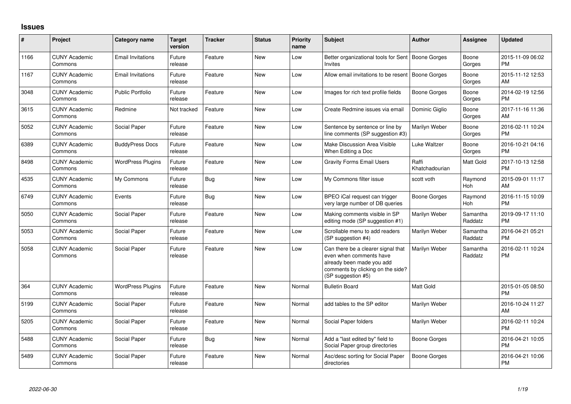## **Issues**

| #    | Project                         | <b>Category name</b>     | <b>Target</b><br>version | <b>Tracker</b> | <b>Status</b> | <b>Priority</b><br>name | <b>Subject</b>                                                                                                                                        | <b>Author</b>           | <b>Assignee</b>     | <b>Updated</b>                |
|------|---------------------------------|--------------------------|--------------------------|----------------|---------------|-------------------------|-------------------------------------------------------------------------------------------------------------------------------------------------------|-------------------------|---------------------|-------------------------------|
| 1166 | <b>CUNY Academic</b><br>Commons | <b>Email Invitations</b> | Future<br>release        | Feature        | <b>New</b>    | Low                     | Better organizational tools for Sent<br>Invites                                                                                                       | Boone Gorges            | Boone<br>Gorges     | 2015-11-09 06:02<br><b>PM</b> |
| 1167 | <b>CUNY Academic</b><br>Commons | <b>Email Invitations</b> | Future<br>release        | Feature        | <b>New</b>    | Low                     | Allow email invitations to be resent                                                                                                                  | Boone Gorges            | Boone<br>Gorges     | 2015-11-12 12:53<br>AM        |
| 3048 | <b>CUNY Academic</b><br>Commons | <b>Public Portfolio</b>  | Future<br>release        | Feature        | <b>New</b>    | Low                     | Images for rich text profile fields                                                                                                                   | Boone Gorges            | Boone<br>Gorges     | 2014-02-19 12:56<br><b>PM</b> |
| 3615 | <b>CUNY Academic</b><br>Commons | Redmine                  | Not tracked              | Feature        | <b>New</b>    | Low                     | Create Redmine issues via email                                                                                                                       | Dominic Giglio          | Boone<br>Gorges     | 2017-11-16 11:36<br>AM        |
| 5052 | <b>CUNY Academic</b><br>Commons | Social Paper             | Future<br>release        | Feature        | New           | Low                     | Sentence by sentence or line by<br>line comments (SP suggestion #3)                                                                                   | Marilyn Weber           | Boone<br>Gorges     | 2016-02-11 10:24<br><b>PM</b> |
| 6389 | <b>CUNY Academic</b><br>Commons | <b>BuddyPress Docs</b>   | Future<br>release        | Feature        | New           | Low                     | Make Discussion Area Visible<br>When Editing a Doc                                                                                                    | Luke Waltzer            | Boone<br>Gorges     | 2016-10-21 04:16<br>PM.       |
| 8498 | <b>CUNY Academic</b><br>Commons | <b>WordPress Plugins</b> | Future<br>release        | Feature        | <b>New</b>    | Low                     | <b>Gravity Forms Email Users</b>                                                                                                                      | Raffi<br>Khatchadourian | Matt Gold           | 2017-10-13 12:58<br><b>PM</b> |
| 4535 | <b>CUNY Academic</b><br>Commons | My Commons               | Future<br>release        | Bug            | New           | Low                     | My Commons filter issue                                                                                                                               | scott voth              | Raymond<br>Hoh      | 2015-09-01 11:17<br>AM        |
| 6749 | <b>CUNY Academic</b><br>Commons | Events                   | Future<br>release        | Bug            | New           | Low                     | BPEO iCal request can trigger<br>very large number of DB queries                                                                                      | Boone Gorges            | Raymond<br>Hoh      | 2016-11-15 10:09<br><b>PM</b> |
| 5050 | <b>CUNY Academic</b><br>Commons | Social Paper             | Future<br>release        | Feature        | <b>New</b>    | Low                     | Making comments visible in SP<br>editing mode (SP suggestion #1)                                                                                      | Marilyn Weber           | Samantha<br>Raddatz | 2019-09-17 11:10<br><b>PM</b> |
| 5053 | <b>CUNY Academic</b><br>Commons | Social Paper             | Future<br>release        | Feature        | New           | Low                     | Scrollable menu to add readers<br>(SP suggestion #4)                                                                                                  | Marilyn Weber           | Samantha<br>Raddatz | 2016-04-21 05:21<br><b>PM</b> |
| 5058 | <b>CUNY Academic</b><br>Commons | Social Paper             | Future<br>release        | Feature        | <b>New</b>    | Low                     | Can there be a clearer signal that<br>even when comments have<br>already been made you add<br>comments by clicking on the side?<br>(SP suggestion #5) | Marilyn Weber           | Samantha<br>Raddatz | 2016-02-11 10:24<br><b>PM</b> |
| 364  | <b>CUNY Academic</b><br>Commons | <b>WordPress Plugins</b> | Future<br>release        | Feature        | <b>New</b>    | Normal                  | <b>Bulletin Board</b>                                                                                                                                 | <b>Matt Gold</b>        |                     | 2015-01-05 08:50<br><b>PM</b> |
| 5199 | <b>CUNY Academic</b><br>Commons | Social Paper             | Future<br>release        | Feature        | New           | Normal                  | add tables to the SP editor                                                                                                                           | Marilyn Weber           |                     | 2016-10-24 11:27<br>AM        |
| 5205 | <b>CUNY Academic</b><br>Commons | Social Paper             | Future<br>release        | Feature        | New           | Normal                  | Social Paper folders                                                                                                                                  | Marilyn Weber           |                     | 2016-02-11 10:24<br><b>PM</b> |
| 5488 | <b>CUNY Academic</b><br>Commons | Social Paper             | Future<br>release        | Bug            | New           | Normal                  | Add a "last edited by" field to<br>Social Paper group directories                                                                                     | Boone Gorges            |                     | 2016-04-21 10:05<br><b>PM</b> |
| 5489 | <b>CUNY Academic</b><br>Commons | Social Paper             | Future<br>release        | Feature        | <b>New</b>    | Normal                  | Asc/desc sorting for Social Paper<br>directories                                                                                                      | Boone Gorges            |                     | 2016-04-21 10:06<br><b>PM</b> |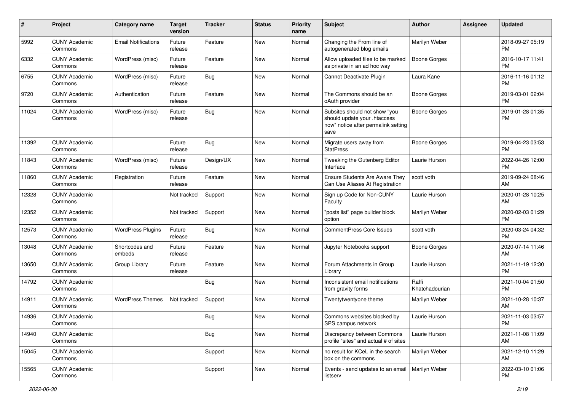| #     | Project                         | <b>Category name</b>       | <b>Target</b><br>version | <b>Tracker</b> | <b>Status</b> | <b>Priority</b><br>name | Subject                                                                                                      | Author                  | <b>Assignee</b> | <b>Updated</b>                |
|-------|---------------------------------|----------------------------|--------------------------|----------------|---------------|-------------------------|--------------------------------------------------------------------------------------------------------------|-------------------------|-----------------|-------------------------------|
| 5992  | <b>CUNY Academic</b><br>Commons | <b>Email Notifications</b> | Future<br>release        | Feature        | <b>New</b>    | Normal                  | Changing the From line of<br>autogenerated blog emails                                                       | Marilyn Weber           |                 | 2018-09-27 05:19<br><b>PM</b> |
| 6332  | <b>CUNY Academic</b><br>Commons | WordPress (misc)           | Future<br>release        | Feature        | New           | Normal                  | Allow uploaded files to be marked<br>as private in an ad hoc way                                             | <b>Boone Gorges</b>     |                 | 2016-10-17 11:41<br><b>PM</b> |
| 6755  | <b>CUNY Academic</b><br>Commons | WordPress (misc)           | Future<br>release        | Bug            | New           | Normal                  | Cannot Deactivate Plugin                                                                                     | Laura Kane              |                 | 2016-11-16 01:12<br><b>PM</b> |
| 9720  | <b>CUNY Academic</b><br>Commons | Authentication             | Future<br>release        | Feature        | New           | Normal                  | The Commons should be an<br>oAuth provider                                                                   | Boone Gorges            |                 | 2019-03-01 02:04<br><b>PM</b> |
| 11024 | <b>CUNY Academic</b><br>Commons | WordPress (misc)           | Future<br>release        | Bug            | New           | Normal                  | Subsites should not show "you<br>should update your .htaccess<br>now" notice after permalink setting<br>save | Boone Gorges            |                 | 2019-01-28 01:35<br><b>PM</b> |
| 11392 | <b>CUNY Academic</b><br>Commons |                            | Future<br>release        | Bug            | New           | Normal                  | Migrate users away from<br><b>StatPress</b>                                                                  | Boone Gorges            |                 | 2019-04-23 03:53<br><b>PM</b> |
| 11843 | <b>CUNY Academic</b><br>Commons | WordPress (misc)           | Future<br>release        | Design/UX      | New           | Normal                  | Tweaking the Gutenberg Editor<br>Interface                                                                   | Laurie Hurson           |                 | 2022-04-26 12:00<br><b>PM</b> |
| 11860 | <b>CUNY Academic</b><br>Commons | Registration               | Future<br>release        | Feature        | New           | Normal                  | <b>Ensure Students Are Aware They</b><br>Can Use Aliases At Registration                                     | scott voth              |                 | 2019-09-24 08:46<br>AM        |
| 12328 | <b>CUNY Academic</b><br>Commons |                            | Not tracked              | Support        | New           | Normal                  | Sign up Code for Non-CUNY<br>Faculty                                                                         | Laurie Hurson           |                 | 2020-01-28 10:25<br>AM        |
| 12352 | <b>CUNY Academic</b><br>Commons |                            | Not tracked              | Support        | <b>New</b>    | Normal                  | "posts list" page builder block<br>option                                                                    | Marilyn Weber           |                 | 2020-02-03 01:29<br><b>PM</b> |
| 12573 | <b>CUNY Academic</b><br>Commons | <b>WordPress Plugins</b>   | Future<br>release        | Bug            | New           | Normal                  | <b>CommentPress Core Issues</b>                                                                              | scott voth              |                 | 2020-03-24 04:32<br><b>PM</b> |
| 13048 | <b>CUNY Academic</b><br>Commons | Shortcodes and<br>embeds   | Future<br>release        | Feature        | New           | Normal                  | Jupyter Notebooks support                                                                                    | Boone Gorges            |                 | 2020-07-14 11:46<br>AM        |
| 13650 | <b>CUNY Academic</b><br>Commons | Group Library              | Future<br>release        | Feature        | <b>New</b>    | Normal                  | Forum Attachments in Group<br>Library                                                                        | Laurie Hurson           |                 | 2021-11-19 12:30<br><b>PM</b> |
| 14792 | <b>CUNY Academic</b><br>Commons |                            |                          | Bug            | <b>New</b>    | Normal                  | Inconsistent email notifications<br>from gravity forms                                                       | Raffi<br>Khatchadourian |                 | 2021-10-04 01:50<br><b>PM</b> |
| 14911 | <b>CUNY Academic</b><br>Commons | <b>WordPress Themes</b>    | Not tracked              | Support        | New           | Normal                  | Twentytwentyone theme                                                                                        | Marilyn Weber           |                 | 2021-10-28 10:37<br>AM        |
| 14936 | <b>CUNY Academic</b><br>Commons |                            |                          | <b>Bug</b>     | New           | Normal                  | Commons websites blocked by<br>SPS campus network                                                            | Laurie Hurson           |                 | 2021-11-03 03:57<br>PM        |
| 14940 | <b>CUNY Academic</b><br>Commons |                            |                          | Bug            | New           | Normal                  | Discrepancy between Commons<br>profile "sites" and actual # of sites                                         | Laurie Hurson           |                 | 2021-11-08 11:09<br>AM        |
| 15045 | <b>CUNY Academic</b><br>Commons |                            |                          | Support        | New           | Normal                  | no result for KCeL in the search<br>box on the commons                                                       | Marilyn Weber           |                 | 2021-12-10 11:29<br>AM        |
| 15565 | <b>CUNY Academic</b><br>Commons |                            |                          | Support        | New           | Normal                  | Events - send updates to an email<br>listserv                                                                | Marilyn Weber           |                 | 2022-03-10 01:06<br><b>PM</b> |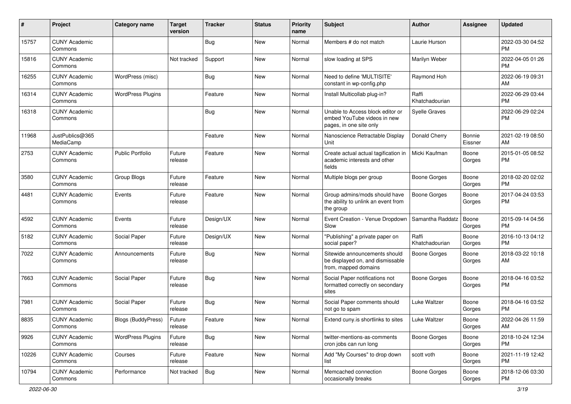| #     | Project                         | Category name            | <b>Target</b><br>version | <b>Tracker</b> | <b>Status</b> | <b>Priority</b><br>name | <b>Subject</b>                                                                             | <b>Author</b>           | <b>Assignee</b>   | <b>Updated</b>                |
|-------|---------------------------------|--------------------------|--------------------------|----------------|---------------|-------------------------|--------------------------------------------------------------------------------------------|-------------------------|-------------------|-------------------------------|
| 15757 | <b>CUNY Academic</b><br>Commons |                          |                          | <b>Bug</b>     | <b>New</b>    | Normal                  | Members # do not match                                                                     | Laurie Hurson           |                   | 2022-03-30 04:52<br><b>PM</b> |
| 15816 | <b>CUNY Academic</b><br>Commons |                          | Not tracked              | Support        | New           | Normal                  | slow loading at SPS                                                                        | Marilyn Weber           |                   | 2022-04-05 01:26<br><b>PM</b> |
| 16255 | <b>CUNY Academic</b><br>Commons | WordPress (misc)         |                          | <b>Bug</b>     | New           | Normal                  | Need to define 'MULTISITE'<br>constant in wp-config.php                                    | Raymond Hoh             |                   | 2022-06-19 09:31<br>AM        |
| 16314 | <b>CUNY Academic</b><br>Commons | <b>WordPress Plugins</b> |                          | Feature        | <b>New</b>    | Normal                  | Install Multicollab plug-in?                                                               | Raffi<br>Khatchadourian |                   | 2022-06-29 03:44<br><b>PM</b> |
| 16318 | <b>CUNY Academic</b><br>Commons |                          |                          | Bug            | <b>New</b>    | Normal                  | Unable to Access block editor or<br>embed YouTube videos in new<br>pages, in one site only | <b>Syelle Graves</b>    |                   | 2022-06-29 02:24<br><b>PM</b> |
| 11968 | JustPublics@365<br>MediaCamp    |                          |                          | Feature        | <b>New</b>    | Normal                  | Nanoscience Retractable Display<br>Unit                                                    | Donald Cherry           | Bonnie<br>Eissner | 2021-02-19 08:50<br>AM        |
| 2753  | <b>CUNY Academic</b><br>Commons | <b>Public Portfolio</b>  | Future<br>release        | Feature        | New           | Normal                  | Create actual actual tagification in<br>academic interests and other<br>fields             | Micki Kaufman           | Boone<br>Gorges   | 2015-01-05 08:52<br><b>PM</b> |
| 3580  | <b>CUNY Academic</b><br>Commons | Group Blogs              | Future<br>release        | Feature        | New           | Normal                  | Multiple blogs per group                                                                   | <b>Boone Gorges</b>     | Boone<br>Gorges   | 2018-02-20 02:02<br><b>PM</b> |
| 4481  | <b>CUNY Academic</b><br>Commons | Events                   | Future<br>release        | Feature        | <b>New</b>    | Normal                  | Group admins/mods should have<br>the ability to unlink an event from<br>the group          | <b>Boone Gorges</b>     | Boone<br>Gorges   | 2017-04-24 03:53<br><b>PM</b> |
| 4592  | <b>CUNY Academic</b><br>Commons | Events                   | Future<br>release        | Design/UX      | <b>New</b>    | Normal                  | Event Creation - Venue Dropdown<br>Slow                                                    | Samantha Raddatz        | Boone<br>Gorges   | 2015-09-14 04:56<br><b>PM</b> |
| 5182  | <b>CUNY Academic</b><br>Commons | Social Paper             | Future<br>release        | Design/UX      | <b>New</b>    | Normal                  | "Publishing" a private paper on<br>social paper?                                           | Raffi<br>Khatchadourian | Boone<br>Gorges   | 2016-10-13 04:12<br><b>PM</b> |
| 7022  | <b>CUNY Academic</b><br>Commons | Announcements            | Future<br>release        | Bug            | <b>New</b>    | Normal                  | Sitewide announcements should<br>be displayed on, and dismissable<br>from, mapped domains  | Boone Gorges            | Boone<br>Gorges   | 2018-03-22 10:18<br>AM        |
| 7663  | <b>CUNY Academic</b><br>Commons | Social Paper             | Future<br>release        | Bug            | <b>New</b>    | Normal                  | Social Paper notifications not<br>formatted correctly on secondary<br>sites                | <b>Boone Gorges</b>     | Boone<br>Gorges   | 2018-04-16 03:52<br><b>PM</b> |
| 7981  | <b>CUNY Academic</b><br>Commons | Social Paper             | Future<br>release        | Bug            | <b>New</b>    | Normal                  | Social Paper comments should<br>not go to spam                                             | Luke Waltzer            | Boone<br>Gorges   | 2018-04-16 03:52<br>PM        |
| 8835  | <b>CUNY Academic</b><br>Commons | Blogs (BuddyPress)       | Future<br>release        | Feature        | New           | Normal                  | Extend cuny.is shortlinks to sites                                                         | Luke Waltzer            | Boone<br>Gorges   | 2022-04-26 11:59<br>AM        |
| 9926  | <b>CUNY Academic</b><br>Commons | <b>WordPress Plugins</b> | Future<br>release        | Bug            | New           | Normal                  | twitter-mentions-as-comments<br>cron jobs can run long                                     | Boone Gorges            | Boone<br>Gorges   | 2018-10-24 12:34<br><b>PM</b> |
| 10226 | <b>CUNY Academic</b><br>Commons | Courses                  | Future<br>release        | Feature        | New           | Normal                  | Add "My Courses" to drop down<br>list                                                      | scott voth              | Boone<br>Gorges   | 2021-11-19 12:42<br>PM.       |
| 10794 | <b>CUNY Academic</b><br>Commons | Performance              | Not tracked              | Bug            | New           | Normal                  | Memcached connection<br>occasionally breaks                                                | <b>Boone Gorges</b>     | Boone<br>Gorges   | 2018-12-06 03:30<br><b>PM</b> |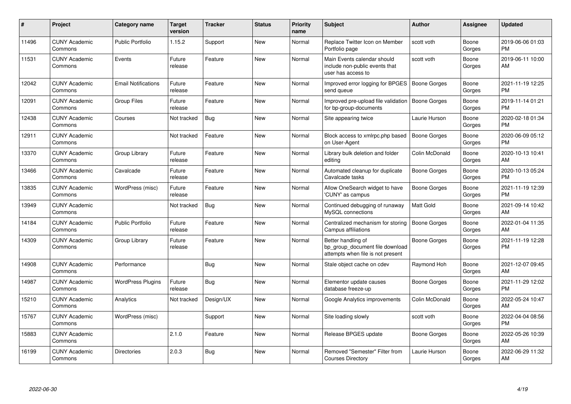| $\sharp$ | Project                         | <b>Category name</b>       | <b>Target</b><br>version | <b>Tracker</b> | <b>Status</b> | Priority<br>name | <b>Subject</b>                                                                             | <b>Author</b>       | Assignee        | <b>Updated</b>                |
|----------|---------------------------------|----------------------------|--------------------------|----------------|---------------|------------------|--------------------------------------------------------------------------------------------|---------------------|-----------------|-------------------------------|
| 11496    | <b>CUNY Academic</b><br>Commons | <b>Public Portfolio</b>    | 1.15.2                   | Support        | New           | Normal           | Replace Twitter Icon on Member<br>Portfolio page                                           | scott voth          | Boone<br>Gorges | 2019-06-06 01:03<br><b>PM</b> |
| 11531    | <b>CUNY Academic</b><br>Commons | Events                     | Future<br>release        | Feature        | New           | Normal           | Main Events calendar should<br>include non-public events that<br>user has access to        | scott voth          | Boone<br>Gorges | 2019-06-11 10:00<br>AM        |
| 12042    | <b>CUNY Academic</b><br>Commons | <b>Email Notifications</b> | Future<br>release        | Feature        | New           | Normal           | Improved error logging for BPGES<br>send queue                                             | Boone Gorges        | Boone<br>Gorges | 2021-11-19 12:25<br><b>PM</b> |
| 12091    | <b>CUNY Academic</b><br>Commons | <b>Group Files</b>         | Future<br>release        | Feature        | <b>New</b>    | Normal           | Improved pre-upload file validation<br>for bp-group-documents                              | Boone Gorges        | Boone<br>Gorges | 2019-11-14 01:21<br><b>PM</b> |
| 12438    | <b>CUNY Academic</b><br>Commons | Courses                    | Not tracked              | Bug            | <b>New</b>    | Normal           | Site appearing twice                                                                       | Laurie Hurson       | Boone<br>Gorges | 2020-02-18 01:34<br><b>PM</b> |
| 12911    | <b>CUNY Academic</b><br>Commons |                            | Not tracked              | Feature        | <b>New</b>    | Normal           | Block access to xmlrpc.php based<br>on User-Agent                                          | <b>Boone Gorges</b> | Boone<br>Gorges | 2020-06-09 05:12<br><b>PM</b> |
| 13370    | <b>CUNY Academic</b><br>Commons | Group Library              | Future<br>release        | Feature        | <b>New</b>    | Normal           | Library bulk deletion and folder<br>editina                                                | Colin McDonald      | Boone<br>Gorges | 2020-10-13 10:41<br>AM        |
| 13466    | <b>CUNY Academic</b><br>Commons | Cavalcade                  | Future<br>release        | Feature        | <b>New</b>    | Normal           | Automated cleanup for duplicate<br>Cavalcade tasks                                         | Boone Gorges        | Boone<br>Gorges | 2020-10-13 05:24<br><b>PM</b> |
| 13835    | <b>CUNY Academic</b><br>Commons | WordPress (misc)           | Future<br>release        | Feature        | <b>New</b>    | Normal           | Allow OneSearch widget to have<br>'CUNY' as campus                                         | Boone Gorges        | Boone<br>Gorges | 2021-11-19 12:39<br><b>PM</b> |
| 13949    | <b>CUNY Academic</b><br>Commons |                            | Not tracked              | <b>Bug</b>     | New           | Normal           | Continued debugging of runaway<br>MySQL connections                                        | <b>Matt Gold</b>    | Boone<br>Gorges | 2021-09-14 10:42<br>AM        |
| 14184    | <b>CUNY Academic</b><br>Commons | Public Portfolio           | Future<br>release        | Feature        | New           | Normal           | Centralized mechanism for storing<br>Campus affiliations                                   | Boone Gorges        | Boone<br>Gorges | 2022-01-04 11:35<br>AM        |
| 14309    | <b>CUNY Academic</b><br>Commons | Group Library              | Future<br>release        | Feature        | New           | Normal           | Better handling of<br>bp group document file download<br>attempts when file is not present | Boone Gorges        | Boone<br>Gorges | 2021-11-19 12:28<br><b>PM</b> |
| 14908    | <b>CUNY Academic</b><br>Commons | Performance                |                          | Bug            | New           | Normal           | Stale object cache on cdev                                                                 | Raymond Hoh         | Boone<br>Gorges | 2021-12-07 09:45<br><b>AM</b> |
| 14987    | <b>CUNY Academic</b><br>Commons | <b>WordPress Plugins</b>   | Future<br>release        | Bug            | New           | Normal           | Elementor update causes<br>database freeze-up                                              | Boone Gorges        | Boone<br>Gorges | 2021-11-29 12:02<br><b>PM</b> |
| 15210    | <b>CUNY Academic</b><br>Commons | Analytics                  | Not tracked              | Design/UX      | <b>New</b>    | Normal           | Google Analytics improvements                                                              | Colin McDonald      | Boone<br>Gorges | 2022-05-24 10:47<br>AM        |
| 15767    | <b>CUNY Academic</b><br>Commons | WordPress (misc)           |                          | Support        | <b>New</b>    | Normal           | Site loading slowly                                                                        | scott voth          | Boone<br>Gorges | 2022-04-04 08:56<br>PM        |
| 15883    | <b>CUNY Academic</b><br>Commons |                            | 2.1.0                    | Feature        | <b>New</b>    | Normal           | Release BPGES update                                                                       | Boone Gorges        | Boone<br>Gorges | 2022-05-26 10:39<br>AM        |
| 16199    | <b>CUNY Academic</b><br>Commons | <b>Directories</b>         | 2.0.3                    | <b>Bug</b>     | <b>New</b>    | Normal           | Removed "Semester" Filter from<br><b>Courses Directory</b>                                 | Laurie Hurson       | Boone<br>Gorges | 2022-06-29 11:32<br>AM        |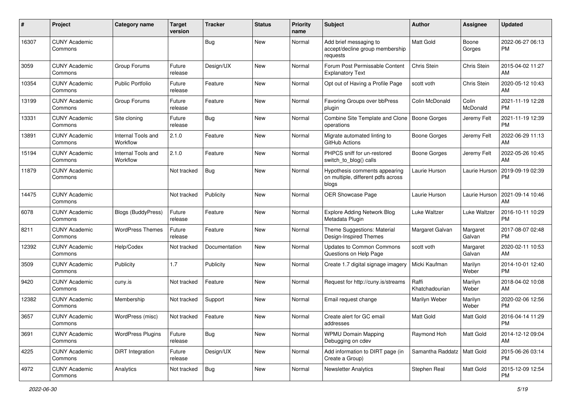| #     | Project                         | <b>Category name</b>           | Target<br>version | <b>Tracker</b> | <b>Status</b> | Priority<br>name | <b>Subject</b>                                                               | Author                       | <b>Assignee</b>    | <b>Updated</b>                |
|-------|---------------------------------|--------------------------------|-------------------|----------------|---------------|------------------|------------------------------------------------------------------------------|------------------------------|--------------------|-------------------------------|
| 16307 | <b>CUNY Academic</b><br>Commons |                                |                   | <b>Bug</b>     | <b>New</b>    | Normal           | Add brief messaging to<br>accept/decline group membership<br>requests        | <b>Matt Gold</b>             | Boone<br>Gorges    | 2022-06-27 06:13<br><b>PM</b> |
| 3059  | <b>CUNY Academic</b><br>Commons | Group Forums                   | Future<br>release | Design/UX      | <b>New</b>    | Normal           | Forum Post Permissable Content<br><b>Explanatory Text</b>                    | Chris Stein                  | Chris Stein        | 2015-04-02 11:27<br>AM        |
| 10354 | <b>CUNY Academic</b><br>Commons | <b>Public Portfolio</b>        | Future<br>release | Feature        | New           | Normal           | Opt out of Having a Profile Page                                             | scott voth                   | Chris Stein        | 2020-05-12 10:43<br>AM        |
| 13199 | <b>CUNY Academic</b><br>Commons | Group Forums                   | Future<br>release | Feature        | New           | Normal           | Favoring Groups over bbPress<br>plugin                                       | Colin McDonald               | Colin<br>McDonald  | 2021-11-19 12:28<br><b>PM</b> |
| 13331 | <b>CUNY Academic</b><br>Commons | Site cloning                   | Future<br>release | Bug            | <b>New</b>    | Normal           | Combine Site Template and Clone<br>operations                                | <b>Boone Gorges</b>          | Jeremy Felt        | 2021-11-19 12:39<br><b>PM</b> |
| 13891 | <b>CUNY Academic</b><br>Commons | Internal Tools and<br>Workflow | 2.1.0             | Feature        | <b>New</b>    | Normal           | Migrate automated linting to<br>GitHub Actions                               | Boone Gorges                 | Jeremy Felt        | 2022-06-29 11:13<br>AM        |
| 15194 | <b>CUNY Academic</b><br>Commons | Internal Tools and<br>Workflow | 2.1.0             | Feature        | New           | Normal           | PHPCS sniff for un-restored<br>switch to blog() calls                        | Boone Gorges                 | Jeremy Felt        | 2022-05-26 10:45<br>AM        |
| 11879 | <b>CUNY Academic</b><br>Commons |                                | Not tracked       | Bug            | New           | Normal           | Hypothesis comments appearing<br>on multiple, different pdfs across<br>blogs | Laurie Hurson                | Laurie Hurson      | 2019-09-19 02:39<br><b>PM</b> |
| 14475 | <b>CUNY Academic</b><br>Commons |                                | Not tracked       | Publicity      | <b>New</b>    | Normal           | OER Showcase Page                                                            | Laurie Hurson                | Laurie Hurson      | 2021-09-14 10:46<br>AM        |
| 6078  | <b>CUNY Academic</b><br>Commons | Blogs (BuddyPress)             | Future<br>release | Feature        | <b>New</b>    | Normal           | <b>Explore Adding Network Blog</b><br>Metadata Plugin                        | Luke Waltzer                 | Luke Waltzer       | 2016-10-11 10:29<br><b>PM</b> |
| 8211  | <b>CUNY Academic</b><br>Commons | <b>WordPress Themes</b>        | Future<br>release | Feature        | <b>New</b>    | Normal           | Theme Suggestions: Material<br>Design-Inspired Themes                        | Margaret Galvan              | Margaret<br>Galvan | 2017-08-07 02:48<br><b>PM</b> |
| 12392 | <b>CUNY Academic</b><br>Commons | Help/Codex                     | Not tracked       | Documentation  | New           | Normal           | Updates to Common Commons<br>Questions on Help Page                          | scott voth                   | Margaret<br>Galvan | 2020-02-11 10:53<br>AM        |
| 3509  | <b>CUNY Academic</b><br>Commons | Publicity                      | 1.7               | Publicity      | <b>New</b>    | Normal           | Create 1.7 digital signage imagery                                           | Micki Kaufman                | Marilyn<br>Weber   | 2014-10-01 12:40<br><b>PM</b> |
| 9420  | <b>CUNY Academic</b><br>Commons | cuny.is                        | Not tracked       | Feature        | <b>New</b>    | Normal           | Request for http://cuny.is/streams                                           | Raffi<br>Khatchadourian      | Marilyn<br>Weber   | 2018-04-02 10:08<br>AM        |
| 12382 | <b>CUNY Academic</b><br>Commons | Membership                     | Not tracked       | Support        | New           | Normal           | Email request change                                                         | Marilyn Weber                | Marilyn<br>Weber   | 2020-02-06 12:56<br><b>PM</b> |
| 3657  | <b>CUNY Academic</b><br>Commons | WordPress (misc)               | Not tracked       | Feature        | New           | Normal           | Create alert for GC email<br>addresses                                       | Matt Gold                    | Matt Gold          | 2016-04-14 11:29<br>PM        |
| 3691  | <b>CUNY Academic</b><br>Commons | <b>WordPress Plugins</b>       | Future<br>release | Bug            | New           | Normal           | <b>WPMU Domain Mapping</b><br>Debugging on cdev                              | Raymond Hoh                  | Matt Gold          | 2014-12-12 09:04<br>AM        |
| 4225  | <b>CUNY Academic</b><br>Commons | DiRT Integration               | Future<br>release | Design/UX      | New           | Normal           | Add information to DIRT page (in<br>Create a Group)                          | Samantha Raddatz   Matt Gold |                    | 2015-06-26 03:14<br><b>PM</b> |
| 4972  | <b>CUNY Academic</b><br>Commons | Analytics                      | Not tracked       | <b>Bug</b>     | New           | Normal           | <b>Newsletter Analytics</b>                                                  | Stephen Real                 | Matt Gold          | 2015-12-09 12:54<br><b>PM</b> |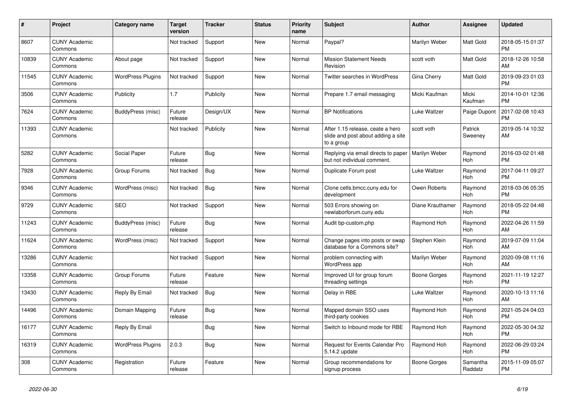| #     | Project                         | <b>Category name</b>     | <b>Target</b><br>version | <b>Tracker</b> | <b>Status</b> | <b>Priority</b><br>name | <b>Subject</b>                                                                       | <b>Author</b>    | Assignee            | <b>Updated</b>                |
|-------|---------------------------------|--------------------------|--------------------------|----------------|---------------|-------------------------|--------------------------------------------------------------------------------------|------------------|---------------------|-------------------------------|
| 8607  | <b>CUNY Academic</b><br>Commons |                          | Not tracked              | Support        | New           | Normal                  | Paypal?                                                                              | Marilyn Weber    | Matt Gold           | 2018-05-15 01:37<br><b>PM</b> |
| 10839 | <b>CUNY Academic</b><br>Commons | About page               | Not tracked              | Support        | New           | Normal                  | <b>Mission Statement Needs</b><br>Revision                                           | scott voth       | Matt Gold           | 2018-12-26 10:58<br>AM        |
| 11545 | <b>CUNY Academic</b><br>Commons | <b>WordPress Plugins</b> | Not tracked              | Support        | <b>New</b>    | Normal                  | Twitter searches in WordPress                                                        | Gina Cherry      | Matt Gold           | 2019-09-23 01:03<br><b>PM</b> |
| 3506  | <b>CUNY Academic</b><br>Commons | Publicity                | 1.7                      | Publicity      | <b>New</b>    | Normal                  | Prepare 1.7 email messaging                                                          | Micki Kaufman    | Micki<br>Kaufman    | 2014-10-01 12:36<br><b>PM</b> |
| 7624  | <b>CUNY Academic</b><br>Commons | BuddyPress (misc)        | Future<br>release        | Design/UX      | New           | Normal                  | <b>BP</b> Notifications                                                              | Luke Waltzer     | Paige Dupont        | 2017-02-08 10:43<br><b>PM</b> |
| 11393 | <b>CUNY Academic</b><br>Commons |                          | Not tracked              | Publicity      | New           | Normal                  | After 1.15 release, ceate a hero<br>slide and post about adding a site<br>to a group | scott voth       | Patrick<br>Sweeney  | 2019-05-14 10:32<br>AM        |
| 5282  | <b>CUNY Academic</b><br>Commons | Social Paper             | Future<br>release        | Bug            | New           | Normal                  | Replying via email directs to paper<br>but not individual comment.                   | Marilyn Weber    | Raymond<br>Hoh      | 2016-03-02 01:48<br><b>PM</b> |
| 7928  | <b>CUNY Academic</b><br>Commons | Group Forums             | Not tracked              | Bug            | <b>New</b>    | Normal                  | Duplicate Forum post                                                                 | Luke Waltzer     | Raymond<br>Hoh      | 2017-04-11 09:27<br><b>PM</b> |
| 9346  | <b>CUNY Academic</b><br>Commons | WordPress (misc)         | Not tracked              | Bug            | <b>New</b>    | Normal                  | Clone cetls.bmcc.cuny.edu for<br>development                                         | Owen Roberts     | Raymond<br>Hoh      | 2018-03-06 05:35<br><b>PM</b> |
| 9729  | <b>CUNY Academic</b><br>Commons | <b>SEO</b>               | Not tracked              | Support        | New           | Normal                  | 503 Errors showing on<br>newlaborforum.cuny.edu                                      | Diane Krauthamer | Raymond<br>Hoh      | 2018-05-22 04:48<br><b>PM</b> |
| 11243 | <b>CUNY Academic</b><br>Commons | BuddyPress (misc)        | Future<br>release        | Bug            | New           | Normal                  | Audit bp-custom.php                                                                  | Raymond Hoh      | Raymond<br>Hoh      | 2022-04-26 11:59<br>AM        |
| 11624 | <b>CUNY Academic</b><br>Commons | WordPress (misc)         | Not tracked              | Support        | <b>New</b>    | Normal                  | Change pages into posts or swap<br>database for a Commons site?                      | Stephen Klein    | Raymond<br>Hoh      | 2019-07-09 11:04<br>AM        |
| 13286 | <b>CUNY Academic</b><br>Commons |                          | Not tracked              | Support        | <b>New</b>    | Normal                  | problem connecting with<br>WordPress app                                             | Marilyn Weber    | Raymond<br>Hoh      | 2020-09-08 11:16<br>AM        |
| 13358 | <b>CUNY Academic</b><br>Commons | Group Forums             | Future<br>release        | Feature        | New           | Normal                  | Improved UI for group forum<br>threading settings                                    | Boone Gorges     | Raymond<br>Hoh      | 2021-11-19 12:27<br><b>PM</b> |
| 13430 | <b>CUNY Academic</b><br>Commons | Reply By Email           | Not tracked              | Bug            | New           | Normal                  | Delay in RBE                                                                         | Luke Waltzer     | Raymond<br>Hoh      | 2020-10-13 11:16<br>AM        |
| 14496 | <b>CUNY Academic</b><br>Commons | Domain Mapping           | Future<br>release        | Bug            | <b>New</b>    | Normal                  | Mapped domain SSO uses<br>third-party cookies                                        | Raymond Hoh      | Raymond<br>Hoh      | 2021-05-24 04:03<br><b>PM</b> |
| 16177 | <b>CUNY Academic</b><br>Commons | Reply By Email           |                          | Bug            | <b>New</b>    | Normal                  | Switch to Inbound mode for RBE                                                       | Raymond Hoh      | Raymond<br>Hoh      | 2022-05-30 04:32<br><b>PM</b> |
| 16319 | <b>CUNY Academic</b><br>Commons | <b>WordPress Plugins</b> | 2.0.3                    | Bug            | New           | Normal                  | Request for Events Calendar Pro<br>5.14.2 update                                     | Raymond Hoh      | Raymond<br>Hoh      | 2022-06-29 03:24<br><b>PM</b> |
| 308   | <b>CUNY Academic</b><br>Commons | Registration             | Future<br>release        | Feature        | <b>New</b>    | Normal                  | Group recommendations for<br>signup process                                          | Boone Gorges     | Samantha<br>Raddatz | 2015-11-09 05:07<br><b>PM</b> |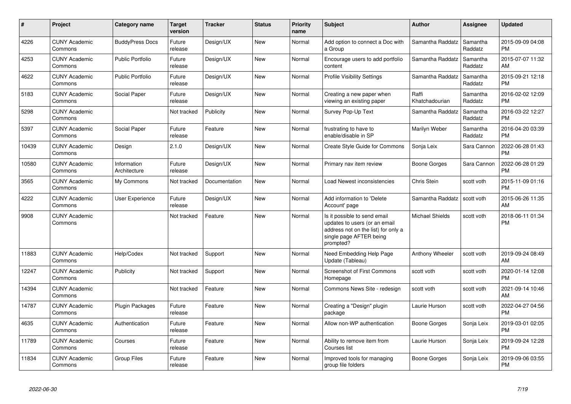| #     | <b>Project</b>                  | Category name               | Target<br>version | <b>Tracker</b> | <b>Status</b> | <b>Priority</b><br>name | <b>Subject</b>                                                                                                                               | <b>Author</b>           | Assignee            | <b>Updated</b>                |
|-------|---------------------------------|-----------------------------|-------------------|----------------|---------------|-------------------------|----------------------------------------------------------------------------------------------------------------------------------------------|-------------------------|---------------------|-------------------------------|
| 4226  | <b>CUNY Academic</b><br>Commons | <b>BuddyPress Docs</b>      | Future<br>release | Design/UX      | <b>New</b>    | Normal                  | Add option to connect a Doc with<br>a Group                                                                                                  | Samantha Raddatz        | Samantha<br>Raddatz | 2015-09-09 04:08<br><b>PM</b> |
| 4253  | <b>CUNY Academic</b><br>Commons | <b>Public Portfolio</b>     | Future<br>release | Design/UX      | <b>New</b>    | Normal                  | Encourage users to add portfolio<br>content                                                                                                  | Samantha Raddatz        | Samantha<br>Raddatz | 2015-07-07 11:32<br>AM        |
| 4622  | <b>CUNY Academic</b><br>Commons | <b>Public Portfolio</b>     | Future<br>release | Design/UX      | <b>New</b>    | Normal                  | <b>Profile Visibility Settings</b>                                                                                                           | Samantha Raddatz        | Samantha<br>Raddatz | 2015-09-21 12:18<br><b>PM</b> |
| 5183  | <b>CUNY Academic</b><br>Commons | Social Paper                | Future<br>release | Design/UX      | <b>New</b>    | Normal                  | Creating a new paper when<br>viewing an existing paper                                                                                       | Raffi<br>Khatchadourian | Samantha<br>Raddatz | 2016-02-02 12:09<br><b>PM</b> |
| 5298  | <b>CUNY Academic</b><br>Commons |                             | Not tracked       | Publicity      | <b>New</b>    | Normal                  | Survey Pop-Up Text                                                                                                                           | Samantha Raddatz        | Samantha<br>Raddatz | 2016-03-22 12:27<br>PM.       |
| 5397  | <b>CUNY Academic</b><br>Commons | Social Paper                | Future<br>release | Feature        | New           | Normal                  | frustrating to have to<br>enable/disable in SP                                                                                               | Marilyn Weber           | Samantha<br>Raddatz | 2016-04-20 03:39<br><b>PM</b> |
| 10439 | <b>CUNY Academic</b><br>Commons | Design                      | 2.1.0             | Design/UX      | New           | Normal                  | Create Style Guide for Commons                                                                                                               | Sonja Leix              | Sara Cannon         | 2022-06-28 01:43<br><b>PM</b> |
| 10580 | <b>CUNY Academic</b><br>Commons | Information<br>Architecture | Future<br>release | Design/UX      | <b>New</b>    | Normal                  | Primary nav item review                                                                                                                      | Boone Gorges            | Sara Cannon         | 2022-06-28 01:29<br><b>PM</b> |
| 3565  | <b>CUNY Academic</b><br>Commons | My Commons                  | Not tracked       | Documentation  | <b>New</b>    | Normal                  | Load Newest inconsistencies                                                                                                                  | Chris Stein             | scott voth          | 2015-11-09 01:16<br><b>PM</b> |
| 4222  | <b>CUNY Academic</b><br>Commons | User Experience             | Future<br>release | Design/UX      | <b>New</b>    | Normal                  | Add information to 'Delete<br>Account' page                                                                                                  | Samantha Raddatz        | scott voth          | 2015-06-26 11:35<br>AM        |
| 9908  | <b>CUNY Academic</b><br>Commons |                             | Not tracked       | Feature        | New           | Normal                  | Is it possible to send email<br>updates to users (or an email<br>address not on the list) for only a<br>single page AFTER being<br>prompted? | <b>Michael Shields</b>  | scott voth          | 2018-06-11 01:34<br>PM        |
| 11883 | <b>CUNY Academic</b><br>Commons | Help/Codex                  | Not tracked       | Support        | <b>New</b>    | Normal                  | Need Embedding Help Page<br>Update (Tableau)                                                                                                 | Anthony Wheeler         | scott voth          | 2019-09-24 08:49<br>AM        |
| 12247 | <b>CUNY Academic</b><br>Commons | Publicity                   | Not tracked       | Support        | New           | Normal                  | Screenshot of First Commons<br>Homepage                                                                                                      | scott voth              | scott voth          | 2020-01-14 12:08<br><b>PM</b> |
| 14394 | <b>CUNY Academic</b><br>Commons |                             | Not tracked       | Feature        | New           | Normal                  | Commons News Site - redesign                                                                                                                 | scott voth              | scott voth          | 2021-09-14 10:46<br>AM        |
| 14787 | <b>CUNY Academic</b><br>Commons | <b>Plugin Packages</b>      | Future<br>release | Feature        | New           | Normal                  | Creating a "Design" plugin<br>package                                                                                                        | Laurie Hurson           | scott voth          | 2022-04-27 04:56<br><b>PM</b> |
| 4635  | <b>CUNY Academic</b><br>Commons | Authentication              | Future<br>release | Feature        | New           | Normal                  | Allow non-WP authentication                                                                                                                  | Boone Gorges            | Sonja Leix          | 2019-03-01 02:05<br><b>PM</b> |
| 11789 | <b>CUNY Academic</b><br>Commons | Courses                     | Future<br>release | Feature        | <b>New</b>    | Normal                  | Ability to remove item from<br>Courses list                                                                                                  | Laurie Hurson           | Sonja Leix          | 2019-09-24 12:28<br><b>PM</b> |
| 11834 | <b>CUNY Academic</b><br>Commons | Group Files                 | Future<br>release | Feature        | <b>New</b>    | Normal                  | Improved tools for managing<br>group file folders                                                                                            | Boone Gorges            | Sonja Leix          | 2019-09-06 03:55<br><b>PM</b> |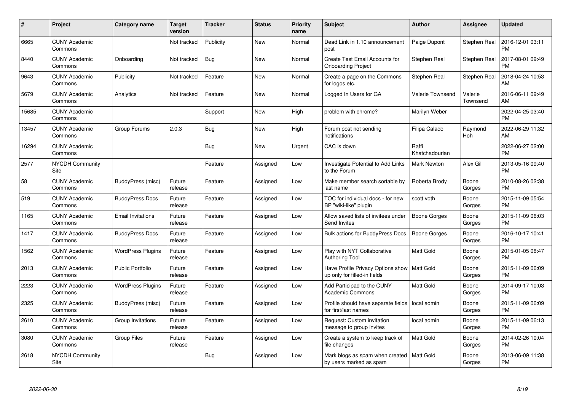| #     | Project                         | <b>Category name</b>     | Target<br>version | <b>Tracker</b> | <b>Status</b> | Priority<br>name | <b>Subject</b>                                                                | <b>Author</b>           | Assignee            | <b>Updated</b>                |
|-------|---------------------------------|--------------------------|-------------------|----------------|---------------|------------------|-------------------------------------------------------------------------------|-------------------------|---------------------|-------------------------------|
| 6665  | <b>CUNY Academic</b><br>Commons |                          | Not tracked       | Publicity      | <b>New</b>    | Normal           | Dead Link in 1.10 announcement<br>post                                        | Paige Dupont            | Stephen Real        | 2016-12-01 03:11<br><b>PM</b> |
| 8440  | <b>CUNY Academic</b><br>Commons | Onboarding               | Not tracked       | Bug            | <b>New</b>    | Normal           | Create Test Email Accounts for<br><b>Onboarding Project</b>                   | Stephen Real            | Stephen Real        | 2017-08-01 09:49<br><b>PM</b> |
| 9643  | <b>CUNY Academic</b><br>Commons | Publicity                | Not tracked       | Feature        | <b>New</b>    | Normal           | Create a page on the Commons<br>for logos etc.                                | Stephen Real            | Stephen Real        | 2018-04-24 10:53<br><b>AM</b> |
| 5679  | <b>CUNY Academic</b><br>Commons | Analytics                | Not tracked       | Feature        | <b>New</b>    | Normal           | Logged In Users for GA                                                        | <b>Valerie Townsend</b> | Valerie<br>Townsend | 2016-06-11 09:49<br>AM        |
| 15685 | <b>CUNY Academic</b><br>Commons |                          |                   | Support        | <b>New</b>    | High             | problem with chrome?                                                          | Marilyn Weber           |                     | 2022-04-25 03:40<br><b>PM</b> |
| 13457 | <b>CUNY Academic</b><br>Commons | Group Forums             | 2.0.3             | Bug            | <b>New</b>    | High             | Forum post not sending<br>notifications                                       | Filipa Calado           | Raymond<br>Hoh      | 2022-06-29 11:32<br><b>AM</b> |
| 16294 | <b>CUNY Academic</b><br>Commons |                          |                   | <b>Bug</b>     | <b>New</b>    | Urgent           | CAC is down                                                                   | Raffi<br>Khatchadourian |                     | 2022-06-27 02:00<br><b>PM</b> |
| 2577  | NYCDH Community<br>Site         |                          |                   | Feature        | Assigned      | Low              | <b>Investigate Potential to Add Links</b><br>to the Forum                     | <b>Mark Newton</b>      | Alex Gil            | 2013-05-16 09:40<br><b>PM</b> |
| 58    | <b>CUNY Academic</b><br>Commons | BuddyPress (misc)        | Future<br>release | Feature        | Assigned      | Low              | Make member search sortable by<br>last name                                   | Roberta Brody           | Boone<br>Gorges     | 2010-08-26 02:38<br><b>PM</b> |
| 519   | <b>CUNY Academic</b><br>Commons | <b>BuddyPress Docs</b>   | Future<br>release | Feature        | Assigned      | Low              | TOC for individual docs - for new<br>BP "wiki-like" plugin                    | scott voth              | Boone<br>Gorges     | 2015-11-09 05:54<br>PM        |
| 1165  | <b>CUNY Academic</b><br>Commons | <b>Email Invitations</b> | Future<br>release | Feature        | Assigned      | Low              | Allow saved lists of invitees under<br>Send Invites                           | Boone Gorges            | Boone<br>Gorges     | 2015-11-09 06:03<br><b>PM</b> |
| 1417  | <b>CUNY Academic</b><br>Commons | <b>BuddyPress Docs</b>   | Future<br>release | Feature        | Assigned      | Low              | <b>Bulk actions for BuddyPress Docs</b>                                       | Boone Gorges            | Boone<br>Gorges     | 2016-10-17 10:41<br><b>PM</b> |
| 1562  | <b>CUNY Academic</b><br>Commons | <b>WordPress Plugins</b> | Future<br>release | Feature        | Assigned      | Low              | Play with NYT Collaborative<br>Authoring Tool                                 | Matt Gold               | Boone<br>Gorges     | 2015-01-05 08:47<br><b>PM</b> |
| 2013  | <b>CUNY Academic</b><br>Commons | <b>Public Portfolio</b>  | Future<br>release | Feature        | Assigned      | Low              | Have Profile Privacy Options show   Matt Gold<br>up only for filled-in fields |                         | Boone<br>Gorges     | 2015-11-09 06:09<br><b>PM</b> |
| 2223  | <b>CUNY Academic</b><br>Commons | <b>WordPress Plugins</b> | Future<br>release | Feature        | Assigned      | Low              | Add Participad to the CUNY<br><b>Academic Commons</b>                         | Matt Gold               | Boone<br>Gorges     | 2014-09-17 10:03<br><b>PM</b> |
| 2325  | <b>CUNY Academic</b><br>Commons | BuddyPress (misc)        | Future<br>release | Feature        | Assigned      | Low              | Profile should have separate fields<br>for first/last names                   | local admin             | Boone<br>Gorges     | 2015-11-09 06:09<br><b>PM</b> |
| 2610  | <b>CUNY Academic</b><br>Commons | Group Invitations        | Future<br>release | Feature        | Assigned      | Low              | Request: Custom invitation<br>message to group invites                        | local admin             | Boone<br>Gorges     | 2015-11-09 06:13<br><b>PM</b> |
| 3080  | <b>CUNY Academic</b><br>Commons | <b>Group Files</b>       | Future<br>release | Feature        | Assigned      | Low              | Create a system to keep track of<br>file changes                              | Matt Gold               | Boone<br>Gorges     | 2014-02-26 10:04<br><b>PM</b> |
| 2618  | <b>NYCDH Community</b><br>Site  |                          |                   | <b>Bug</b>     | Assigned      | Low              | Mark blogs as spam when created<br>by users marked as spam                    | Matt Gold               | Boone<br>Gorges     | 2013-06-09 11:38<br>PM        |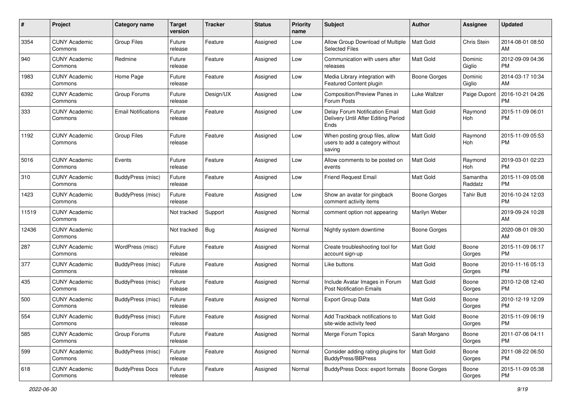| #     | Project                         | Category name              | <b>Target</b><br>version | <b>Tracker</b> | <b>Status</b> | <b>Priority</b><br>name | <b>Subject</b>                                                                | Author              | <b>Assignee</b>     | <b>Updated</b>                |
|-------|---------------------------------|----------------------------|--------------------------|----------------|---------------|-------------------------|-------------------------------------------------------------------------------|---------------------|---------------------|-------------------------------|
| 3354  | <b>CUNY Academic</b><br>Commons | <b>Group Files</b>         | Future<br>release        | Feature        | Assigned      | Low                     | Allow Group Download of Multiple<br><b>Selected Files</b>                     | <b>Matt Gold</b>    | Chris Stein         | 2014-08-01 08:50<br>AM        |
| 940   | <b>CUNY Academic</b><br>Commons | Redmine                    | Future<br>release        | Feature        | Assigned      | Low                     | Communication with users after<br>releases                                    | Matt Gold           | Dominic<br>Giglio   | 2012-09-09 04:36<br><b>PM</b> |
| 1983  | <b>CUNY Academic</b><br>Commons | Home Page                  | Future<br>release        | Feature        | Assigned      | Low                     | Media Library integration with<br>Featured Content plugin                     | <b>Boone Gorges</b> | Dominic<br>Giglio   | 2014-03-17 10:34<br>AM        |
| 6392  | <b>CUNY Academic</b><br>Commons | Group Forums               | Future<br>release        | Design/UX      | Assigned      | Low                     | Composition/Preview Panes in<br>Forum Posts                                   | Luke Waltzer        | Paige Dupont        | 2016-10-21 04:26<br><b>PM</b> |
| 333   | <b>CUNY Academic</b><br>Commons | <b>Email Notifications</b> | Future<br>release        | Feature        | Assigned      | Low                     | Delay Forum Notification Email<br>Delivery Until After Editing Period<br>Ends | <b>Matt Gold</b>    | Raymond<br>Hoh      | 2015-11-09 06:01<br><b>PM</b> |
| 1192  | <b>CUNY Academic</b><br>Commons | <b>Group Files</b>         | Future<br>release        | Feature        | Assigned      | Low                     | When posting group files, allow<br>users to add a category without<br>saving  | <b>Matt Gold</b>    | Raymond<br>Hoh      | 2015-11-09 05:53<br><b>PM</b> |
| 5016  | <b>CUNY Academic</b><br>Commons | Events                     | Future<br>release        | Feature        | Assigned      | Low                     | Allow comments to be posted on<br>events                                      | <b>Matt Gold</b>    | Raymond<br>Hoh      | 2019-03-01 02:23<br><b>PM</b> |
| 310   | <b>CUNY Academic</b><br>Commons | BuddyPress (misc)          | Future<br>release        | Feature        | Assigned      | Low                     | <b>Friend Request Email</b>                                                   | Matt Gold           | Samantha<br>Raddatz | 2015-11-09 05:08<br><b>PM</b> |
| 1423  | <b>CUNY Academic</b><br>Commons | BuddyPress (misc)          | Future<br>release        | Feature        | Assigned      | Low                     | Show an avatar for pingback<br>comment activity items                         | Boone Gorges        | <b>Tahir Butt</b>   | 2016-10-24 12:03<br><b>PM</b> |
| 11519 | <b>CUNY Academic</b><br>Commons |                            | Not tracked              | Support        | Assigned      | Normal                  | comment option not appearing                                                  | Marilyn Weber       |                     | 2019-09-24 10:28<br>AM        |
| 12436 | <b>CUNY Academic</b><br>Commons |                            | Not tracked              | <b>Bug</b>     | Assigned      | Normal                  | Nightly system downtime                                                       | Boone Gorges        |                     | 2020-08-01 09:30<br>AM        |
| 287   | <b>CUNY Academic</b><br>Commons | WordPress (misc)           | Future<br>release        | Feature        | Assigned      | Normal                  | Create troubleshooting tool for<br>account sign-up                            | <b>Matt Gold</b>    | Boone<br>Gorges     | 2015-11-09 06:17<br><b>PM</b> |
| 377   | <b>CUNY Academic</b><br>Commons | <b>BuddyPress</b> (misc)   | Future<br>release        | Feature        | Assigned      | Normal                  | Like buttons                                                                  | <b>Matt Gold</b>    | Boone<br>Gorges     | 2010-11-16 05:13<br><b>PM</b> |
| 435   | <b>CUNY Academic</b><br>Commons | BuddyPress (misc)          | Future<br>release        | Feature        | Assigned      | Normal                  | Include Avatar Images in Forum<br><b>Post Notification Emails</b>             | <b>Matt Gold</b>    | Boone<br>Gorges     | 2010-12-08 12:40<br><b>PM</b> |
| 500   | <b>CUNY Academic</b><br>Commons | BuddyPress (misc)          | Future<br>release        | Feature        | Assigned      | Normal                  | <b>Export Group Data</b>                                                      | <b>Matt Gold</b>    | Boone<br>Gorges     | 2010-12-19 12:09<br><b>PM</b> |
| 554   | <b>CUNY Academic</b><br>Commons | BuddyPress (misc)          | Future<br>release        | Feature        | Assigned      | Normal                  | Add Trackback notifications to<br>site-wide activity feed                     | <b>Matt Gold</b>    | Boone<br>Gorges     | 2015-11-09 06:19<br><b>PM</b> |
| 585   | <b>CUNY Academic</b><br>Commons | Group Forums               | Future<br>release        | Feature        | Assigned      | Normal                  | Merge Forum Topics                                                            | Sarah Morgano       | Boone<br>Gorges     | 2011-07-06 04:11<br><b>PM</b> |
| 599   | <b>CUNY Academic</b><br>Commons | BuddyPress (misc)          | Future<br>release        | Feature        | Assigned      | Normal                  | Consider adding rating plugins for<br><b>BuddyPress/BBPress</b>               | Matt Gold           | Boone<br>Gorges     | 2011-08-22 06:50<br><b>PM</b> |
| 618   | <b>CUNY Academic</b><br>Commons | <b>BuddyPress Docs</b>     | Future<br>release        | Feature        | Assigned      | Normal                  | BuddyPress Docs: export formats                                               | <b>Boone Gorges</b> | Boone<br>Gorges     | 2015-11-09 05:38<br><b>PM</b> |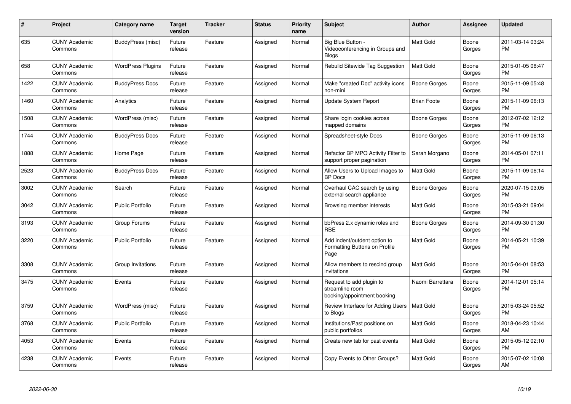| #    | Project                         | <b>Category name</b>     | <b>Target</b><br>version | <b>Tracker</b> | <b>Status</b> | <b>Priority</b><br>name | <b>Subject</b>                                                             | <b>Author</b>      | <b>Assignee</b> | <b>Updated</b>                |
|------|---------------------------------|--------------------------|--------------------------|----------------|---------------|-------------------------|----------------------------------------------------------------------------|--------------------|-----------------|-------------------------------|
| 635  | <b>CUNY Academic</b><br>Commons | BuddyPress (misc)        | Future<br>release        | Feature        | Assigned      | Normal                  | Big Blue Button -<br>Videoconferencing in Groups and<br><b>Blogs</b>       | <b>Matt Gold</b>   | Boone<br>Gorges | 2011-03-14 03:24<br><b>PM</b> |
| 658  | <b>CUNY Academic</b><br>Commons | <b>WordPress Plugins</b> | Future<br>release        | Feature        | Assigned      | Normal                  | Rebulid Sitewide Tag Suggestion                                            | <b>Matt Gold</b>   | Boone<br>Gorges | 2015-01-05 08:47<br><b>PM</b> |
| 1422 | <b>CUNY Academic</b><br>Commons | <b>BuddyPress Docs</b>   | Future<br>release        | Feature        | Assigned      | Normal                  | Make "created Doc" activity icons<br>non-mini                              | Boone Gorges       | Boone<br>Gorges | 2015-11-09 05:48<br><b>PM</b> |
| 1460 | <b>CUNY Academic</b><br>Commons | Analytics                | Future<br>release        | Feature        | Assigned      | Normal                  | Update System Report                                                       | <b>Brian Foote</b> | Boone<br>Gorges | 2015-11-09 06:13<br><b>PM</b> |
| 1508 | <b>CUNY Academic</b><br>Commons | WordPress (misc)         | Future<br>release        | Feature        | Assigned      | Normal                  | Share login cookies across<br>mapped domains                               | Boone Gorges       | Boone<br>Gorges | 2012-07-02 12:12<br><b>PM</b> |
| 1744 | <b>CUNY Academic</b><br>Commons | <b>BuddyPress Docs</b>   | Future<br>release        | Feature        | Assigned      | Normal                  | Spreadsheet-style Docs                                                     | Boone Gorges       | Boone<br>Gorges | 2015-11-09 06:13<br><b>PM</b> |
| 1888 | <b>CUNY Academic</b><br>Commons | Home Page                | Future<br>release        | Feature        | Assigned      | Normal                  | Refactor BP MPO Activity Filter to<br>support proper pagination            | Sarah Morgano      | Boone<br>Gorges | 2014-05-01 07:11<br><b>PM</b> |
| 2523 | <b>CUNY Academic</b><br>Commons | <b>BuddyPress Docs</b>   | Future<br>release        | Feature        | Assigned      | Normal                  | Allow Users to Upload Images to<br><b>BP</b> Docs                          | <b>Matt Gold</b>   | Boone<br>Gorges | 2015-11-09 06:14<br><b>PM</b> |
| 3002 | <b>CUNY Academic</b><br>Commons | Search                   | Future<br>release        | Feature        | Assigned      | Normal                  | Overhaul CAC search by using<br>external search appliance                  | Boone Gorges       | Boone<br>Gorges | 2020-07-15 03:05<br><b>PM</b> |
| 3042 | <b>CUNY Academic</b><br>Commons | <b>Public Portfolio</b>  | Future<br>release        | Feature        | Assigned      | Normal                  | Browsing member interests                                                  | Matt Gold          | Boone<br>Gorges | 2015-03-21 09:04<br><b>PM</b> |
| 3193 | <b>CUNY Academic</b><br>Commons | Group Forums             | Future<br>release        | Feature        | Assigned      | Normal                  | bbPress 2.x dynamic roles and<br><b>RBE</b>                                | Boone Gorges       | Boone<br>Gorges | 2014-09-30 01:30<br><b>PM</b> |
| 3220 | <b>CUNY Academic</b><br>Commons | <b>Public Portfolio</b>  | Future<br>release        | Feature        | Assigned      | Normal                  | Add indent/outdent option to<br>Formatting Buttons on Profile<br>Page      | <b>Matt Gold</b>   | Boone<br>Gorges | 2014-05-21 10:39<br><b>PM</b> |
| 3308 | <b>CUNY Academic</b><br>Commons | Group Invitations        | Future<br>release        | Feature        | Assigned      | Normal                  | Allow members to rescind group<br>invitations                              | <b>Matt Gold</b>   | Boone<br>Gorges | 2015-04-01 08:53<br><b>PM</b> |
| 3475 | <b>CUNY Academic</b><br>Commons | Events                   | Future<br>release        | Feature        | Assigned      | Normal                  | Request to add plugin to<br>streamline room<br>booking/appointment booking | Naomi Barrettara   | Boone<br>Gorges | 2014-12-01 05:14<br><b>PM</b> |
| 3759 | <b>CUNY Academic</b><br>Commons | WordPress (misc)         | Future<br>release        | Feature        | Assigned      | Normal                  | Review Interface for Adding Users<br>to Blogs                              | <b>Matt Gold</b>   | Boone<br>Gorges | 2015-03-24 05:52<br><b>PM</b> |
| 3768 | <b>CUNY Academic</b><br>Commons | <b>Public Portfolio</b>  | Future<br>release        | Feature        | Assigned      | Normal                  | Institutions/Past positions on<br>public portfolios                        | <b>Matt Gold</b>   | Boone<br>Gorges | 2018-04-23 10:44<br>AM        |
| 4053 | <b>CUNY Academic</b><br>Commons | Events                   | Future<br>release        | Feature        | Assigned      | Normal                  | Create new tab for past events                                             | <b>Matt Gold</b>   | Boone<br>Gorges | 2015-05-12 02:10<br><b>PM</b> |
| 4238 | <b>CUNY Academic</b><br>Commons | Events                   | Future<br>release        | Feature        | Assigned      | Normal                  | Copy Events to Other Groups?                                               | <b>Matt Gold</b>   | Boone<br>Gorges | 2015-07-02 10:08<br>AM        |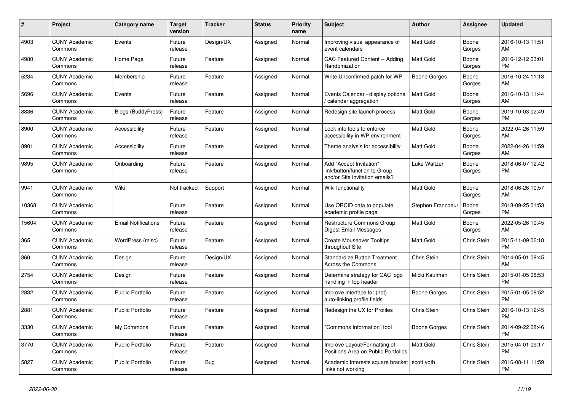| #     | Project                         | <b>Category name</b>       | <b>Target</b><br>version | <b>Tracker</b> | <b>Status</b> | <b>Priority</b><br>name | <b>Subject</b>                                                                             | <b>Author</b>    | <b>Assignee</b>    | <b>Updated</b>                |
|-------|---------------------------------|----------------------------|--------------------------|----------------|---------------|-------------------------|--------------------------------------------------------------------------------------------|------------------|--------------------|-------------------------------|
| 4903  | <b>CUNY Academic</b><br>Commons | Events                     | Future<br>release        | Design/UX      | Assigned      | Normal                  | Improving visual appearance of<br>event calendars                                          | <b>Matt Gold</b> | Boone<br>Gorges    | 2016-10-13 11:51<br>AM        |
| 4980  | <b>CUNY Academic</b><br>Commons | Home Page                  | Future<br>release        | Feature        | Assigned      | Normal                  | CAC Featured Content -- Adding<br>Randomization                                            | <b>Matt Gold</b> | Boone<br>Gorges    | 2016-12-12 03:01<br><b>PM</b> |
| 5234  | <b>CUNY Academic</b><br>Commons | Membership                 | Future<br>release        | Feature        | Assigned      | Normal                  | Write Unconfirmed patch for WP                                                             | Boone Gorges     | Boone<br>Gorges    | 2016-10-24 11:18<br>AM        |
| 5696  | <b>CUNY Academic</b><br>Commons | Events                     | Future<br>release        | Feature        | Assigned      | Normal                  | Events Calendar - display options<br>/ calendar aggregation                                | <b>Matt Gold</b> | Boone<br>Gorges    | 2016-10-13 11:44<br>AM        |
| 8836  | <b>CUNY Academic</b><br>Commons | <b>Blogs (BuddyPress)</b>  | Future<br>release        | Feature        | Assigned      | Normal                  | Redesign site launch process                                                               | Matt Gold        | Boone<br>Gorges    | 2019-10-03 02:49<br><b>PM</b> |
| 8900  | <b>CUNY Academic</b><br>Commons | Accessibility              | Future<br>release        | Feature        | Assigned      | Normal                  | Look into tools to enforce<br>accessibility in WP environment                              | Matt Gold        | Boone<br>Gorges    | 2022-04-26 11:59<br>AM        |
| 8901  | <b>CUNY Academic</b><br>Commons | Accessibility              | Future<br>release        | Feature        | Assigned      | Normal                  | Theme analysis for accessibility                                                           | <b>Matt Gold</b> | Boone<br>Gorges    | 2022-04-26 11:59<br>AM        |
| 9895  | <b>CUNY Academic</b><br>Commons | Onboarding                 | Future<br>release        | Feature        | Assigned      | Normal                  | Add "Accept Invitation"<br>link/button/function to Group<br>and/or Site invitation emails? | Luke Waltzer     | Boone<br>Gorges    | 2018-06-07 12:42<br><b>PM</b> |
| 9941  | <b>CUNY Academic</b><br>Commons | Wiki                       | Not tracked              | Support        | Assigned      | Normal                  | Wiki functionality                                                                         | Matt Gold        | Boone<br>Gorges    | 2018-06-26 10:57<br>AM        |
| 10368 | <b>CUNY Academic</b><br>Commons |                            | Future<br>release        | Feature        | Assigned      | Normal                  | Use ORCID data to populate<br>academic profile page                                        | Stephen Francoeu | Boone<br>Gorges    | 2018-09-25 01:53<br><b>PM</b> |
| 15604 | <b>CUNY Academic</b><br>Commons | <b>Email Notifications</b> | Future<br>release        | Feature        | Assigned      | Normal                  | Restructure Commons Group<br>Digest Email Messages                                         | Matt Gold        | Boone<br>Gorges    | 2022-05-26 10:45<br>AM        |
| 365   | <b>CUNY Academic</b><br>Commons | WordPress (misc)           | Future<br>release        | Feature        | Assigned      | Normal                  | <b>Create Mouseover Tooltips</b><br>throughout Site                                        | Matt Gold        | Chris Stein        | 2015-11-09 06:18<br><b>PM</b> |
| 860   | <b>CUNY Academic</b><br>Commons | Design                     | Future<br>release        | Design/UX      | Assigned      | Normal                  | <b>Standardize Button Treatment</b><br>Across the Commons                                  | Chris Stein      | <b>Chris Stein</b> | 2014-05-01 09:45<br>AM        |
| 2754  | <b>CUNY Academic</b><br>Commons | Design                     | Future<br>release        | Feature        | Assigned      | Normal                  | Determine strategy for CAC logo<br>handling in top header                                  | Micki Kaufman    | Chris Stein        | 2015-01-05 08:53<br><b>PM</b> |
| 2832  | <b>CUNY Academic</b><br>Commons | <b>Public Portfolio</b>    | Future<br>release        | Feature        | Assigned      | Normal                  | Improve interface for (not)<br>auto-linking profile fields                                 | Boone Gorges     | <b>Chris Stein</b> | 2015-01-05 08:52<br><b>PM</b> |
| 2881  | <b>CUNY Academic</b><br>Commons | Public Portfolio           | Future<br>release        | Feature        | Assigned      | Normal                  | Redesign the UX for Profiles                                                               | Chris Stein      | Chris Stein        | 2016-10-13 12:45<br><b>PM</b> |
| 3330  | <b>CUNY Academic</b><br>Commons | My Commons                 | Future<br>release        | Feature        | Assigned      | Normal                  | "Commons Information" tool                                                                 | Boone Gorges     | Chris Stein        | 2014-09-22 08:46<br><b>PM</b> |
| 3770  | <b>CUNY Academic</b><br>Commons | <b>Public Portfolio</b>    | Future<br>release        | Feature        | Assigned      | Normal                  | Improve Layout/Formatting of<br>Positions Area on Public Portfolios                        | <b>Matt Gold</b> | Chris Stein        | 2015-04-01 09:17<br><b>PM</b> |
| 5827  | <b>CUNY Academic</b><br>Commons | Public Portfolio           | Future<br>release        | Bug            | Assigned      | Normal                  | Academic Interests square bracket<br>links not working                                     | scott voth       | Chris Stein        | 2016-08-11 11:59<br><b>PM</b> |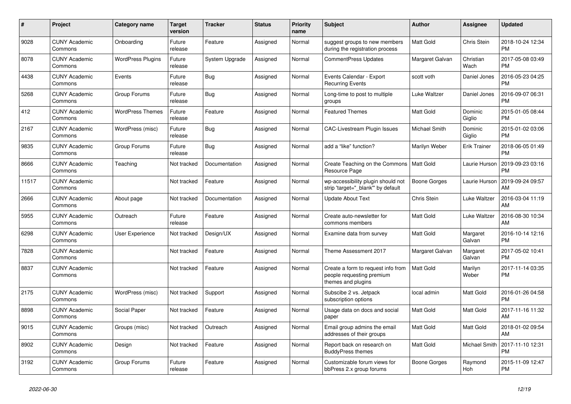| #     | <b>Project</b>                  | Category name            | <b>Target</b><br>version | <b>Tracker</b> | <b>Status</b> | <b>Priority</b><br>name | <b>Subject</b>                                                                        | <b>Author</b>    | Assignee            | <b>Updated</b>                |
|-------|---------------------------------|--------------------------|--------------------------|----------------|---------------|-------------------------|---------------------------------------------------------------------------------------|------------------|---------------------|-------------------------------|
| 9028  | <b>CUNY Academic</b><br>Commons | Onboarding               | Future<br>release        | Feature        | Assigned      | Normal                  | suggest groups to new members<br>during the registration process                      | <b>Matt Gold</b> | Chris Stein         | 2018-10-24 12:34<br><b>PM</b> |
| 8078  | <b>CUNY Academic</b><br>Commons | <b>WordPress Plugins</b> | Future<br>release        | System Upgrade | Assigned      | Normal                  | <b>CommentPress Updates</b>                                                           | Margaret Galvan  | Christian<br>Wach   | 2017-05-08 03:49<br><b>PM</b> |
| 4438  | <b>CUNY Academic</b><br>Commons | Events                   | Future<br>release        | Bug            | Assigned      | Normal                  | Events Calendar - Export<br><b>Recurring Events</b>                                   | scott voth       | Daniel Jones        | 2016-05-23 04:25<br><b>PM</b> |
| 5268  | <b>CUNY Academic</b><br>Commons | Group Forums             | Future<br>release        | Bug            | Assigned      | Normal                  | Long-time to post to multiple<br>groups                                               | Luke Waltzer     | Daniel Jones        | 2016-09-07 06:31<br><b>PM</b> |
| 412   | <b>CUNY Academic</b><br>Commons | <b>WordPress Themes</b>  | Future<br>release        | Feature        | Assigned      | Normal                  | <b>Featured Themes</b>                                                                | <b>Matt Gold</b> | Dominic<br>Giglio   | 2015-01-05 08:44<br><b>PM</b> |
| 2167  | <b>CUNY Academic</b><br>Commons | WordPress (misc)         | Future<br>release        | Bug            | Assigned      | Normal                  | <b>CAC-Livestream Plugin Issues</b>                                                   | Michael Smith    | Dominic<br>Giglio   | 2015-01-02 03:06<br><b>PM</b> |
| 9835  | <b>CUNY Academic</b><br>Commons | Group Forums             | Future<br>release        | Bug            | Assigned      | Normal                  | add a "like" function?                                                                | Marilyn Weber    | <b>Erik Trainer</b> | 2018-06-05 01:49<br><b>PM</b> |
| 8666  | <b>CUNY Academic</b><br>Commons | Teaching                 | Not tracked              | Documentation  | Assigned      | Normal                  | Create Teaching on the Commons<br>Resource Page                                       | <b>Matt Gold</b> | Laurie Hurson       | 2019-09-23 03:16<br><b>PM</b> |
| 11517 | <b>CUNY Academic</b><br>Commons |                          | Not tracked              | Feature        | Assigned      | Normal                  | wp-accessibility plugin should not<br>strip 'target="_blank" by default               | Boone Gorges     | Laurie Hurson       | 2019-09-24 09:57<br>AM        |
| 2666  | <b>CUNY Academic</b><br>Commons | About page               | Not tracked              | Documentation  | Assigned      | Normal                  | <b>Update About Text</b>                                                              | Chris Stein      | Luke Waltzer        | 2016-03-04 11:19<br>AM        |
| 5955  | <b>CUNY Academic</b><br>Commons | Outreach                 | Future<br>release        | Feature        | Assigned      | Normal                  | Create auto-newsletter for<br>commons members                                         | Matt Gold        | Luke Waltzer        | 2016-08-30 10:34<br>AM        |
| 6298  | <b>CUNY Academic</b><br>Commons | <b>User Experience</b>   | Not tracked              | Design/UX      | Assigned      | Normal                  | Examine data from survey                                                              | <b>Matt Gold</b> | Margaret<br>Galvan  | 2016-10-14 12:16<br><b>PM</b> |
| 7828  | <b>CUNY Academic</b><br>Commons |                          | Not tracked              | Feature        | Assigned      | Normal                  | Theme Assessment 2017                                                                 | Margaret Galvan  | Margaret<br>Galvan  | 2017-05-02 10:41<br><b>PM</b> |
| 8837  | <b>CUNY Academic</b><br>Commons |                          | Not tracked              | Feature        | Assigned      | Normal                  | Create a form to request info from<br>people requesting premium<br>themes and plugins | <b>Matt Gold</b> | Marilyn<br>Weber    | 2017-11-14 03:35<br><b>PM</b> |
| 2175  | <b>CUNY Academic</b><br>Commons | WordPress (misc)         | Not tracked              | Support        | Assigned      | Normal                  | Subscibe 2 vs. Jetpack<br>subscription options                                        | local admin      | Matt Gold           | 2016-01-26 04:58<br><b>PM</b> |
| 8898  | <b>CUNY Academic</b><br>Commons | Social Paper             | Not tracked              | Feature        | Assigned      | Normal                  | Usage data on docs and social<br>paper                                                | Matt Gold        | Matt Gold           | 2017-11-16 11:32<br>AM        |
| 9015  | <b>CUNY Academic</b><br>Commons | Groups (misc)            | Not tracked              | Outreach       | Assigned      | Normal                  | Email group admins the email<br>addresses of their groups                             | <b>Matt Gold</b> | Matt Gold           | 2018-01-02 09:54<br>AM        |
| 8902  | <b>CUNY Academic</b><br>Commons | Design                   | Not tracked              | Feature        | Assigned      | Normal                  | Report back on research on<br><b>BuddyPress themes</b>                                | <b>Matt Gold</b> | Michael Smith       | 2017-11-10 12:31<br><b>PM</b> |
| 3192  | <b>CUNY Academic</b><br>Commons | Group Forums             | Future<br>release        | Feature        | Assigned      | Normal                  | Customizable forum views for<br>bbPress 2.x group forums                              | Boone Gorges     | Raymond<br>Hoh      | 2015-11-09 12:47<br><b>PM</b> |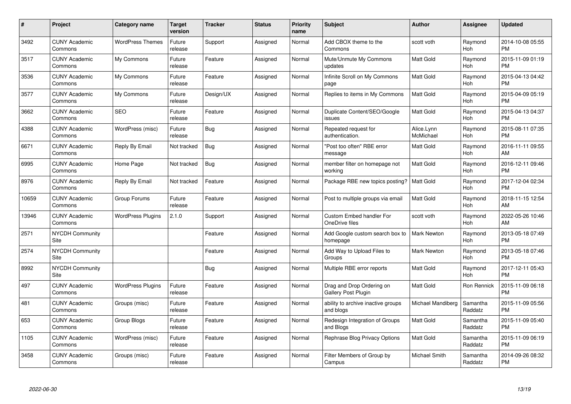| #     | Project                         | <b>Category name</b>     | Target<br>version | <b>Tracker</b> | <b>Status</b> | Priority<br>name | <b>Subject</b>                                   | <b>Author</b>           | <b>Assignee</b>     | <b>Updated</b>                |
|-------|---------------------------------|--------------------------|-------------------|----------------|---------------|------------------|--------------------------------------------------|-------------------------|---------------------|-------------------------------|
| 3492  | <b>CUNY Academic</b><br>Commons | <b>WordPress Themes</b>  | Future<br>release | Support        | Assigned      | Normal           | Add CBOX theme to the<br>Commons                 | scott voth              | Raymond<br>Hoh      | 2014-10-08 05:55<br><b>PM</b> |
| 3517  | <b>CUNY Academic</b><br>Commons | My Commons               | Future<br>release | Feature        | Assigned      | Normal           | Mute/Unmute My Commons<br>updates                | Matt Gold               | Raymond<br>Hoh      | 2015-11-09 01:19<br><b>PM</b> |
| 3536  | <b>CUNY Academic</b><br>Commons | My Commons               | Future<br>release | Feature        | Assigned      | Normal           | Infinite Scroll on My Commons<br>page            | <b>Matt Gold</b>        | Raymond<br>Hoh      | 2015-04-13 04:42<br><b>PM</b> |
| 3577  | <b>CUNY Academic</b><br>Commons | My Commons               | Future<br>release | Design/UX      | Assigned      | Normal           | Replies to items in My Commons                   | Matt Gold               | Raymond<br>Hoh      | 2015-04-09 05:19<br><b>PM</b> |
| 3662  | <b>CUNY Academic</b><br>Commons | <b>SEO</b>               | Future<br>release | Feature        | Assigned      | Normal           | Duplicate Content/SEO/Google<br>issues           | Matt Gold               | Raymond<br>Hoh      | 2015-04-13 04:37<br><b>PM</b> |
| 4388  | <b>CUNY Academic</b><br>Commons | WordPress (misc)         | Future<br>release | Bug            | Assigned      | Normal           | Repeated request for<br>authentication.          | Alice.Lynn<br>McMichael | Raymond<br>Hoh      | 2015-08-11 07:35<br><b>PM</b> |
| 6671  | <b>CUNY Academic</b><br>Commons | Reply By Email           | Not tracked       | <b>Bug</b>     | Assigned      | Normal           | "Post too often" RBE error<br>message            | Matt Gold               | Raymond<br>Hoh      | 2016-11-11 09:55<br>AM        |
| 6995  | <b>CUNY Academic</b><br>Commons | Home Page                | Not tracked       | Bug            | Assigned      | Normal           | member filter on homepage not<br>working         | <b>Matt Gold</b>        | Raymond<br>Hoh      | 2016-12-11 09:46<br><b>PM</b> |
| 8976  | <b>CUNY Academic</b><br>Commons | Reply By Email           | Not tracked       | Feature        | Assigned      | Normal           | Package RBE new topics posting?                  | <b>Matt Gold</b>        | Raymond<br>Hoh      | 2017-12-04 02:34<br><b>PM</b> |
| 10659 | <b>CUNY Academic</b><br>Commons | Group Forums             | Future<br>release | Feature        | Assigned      | Normal           | Post to multiple groups via email                | <b>Matt Gold</b>        | Raymond<br>Hoh      | 2018-11-15 12:54<br>AM        |
| 13946 | <b>CUNY Academic</b><br>Commons | <b>WordPress Plugins</b> | 2.1.0             | Support        | Assigned      | Normal           | Custom Embed handler For<br>OneDrive files       | scott voth              | Raymond<br>Hoh      | 2022-05-26 10:46<br>AM        |
| 2571  | <b>NYCDH Community</b><br>Site  |                          |                   | Feature        | Assigned      | Normal           | Add Google custom search box to<br>homepage      | Mark Newton             | Raymond<br>Hoh      | 2013-05-18 07:49<br><b>PM</b> |
| 2574  | <b>NYCDH Community</b><br>Site  |                          |                   | Feature        | Assigned      | Normal           | Add Way to Upload Files to<br>Groups             | Mark Newton             | Raymond<br>Hoh      | 2013-05-18 07:46<br>PM.       |
| 8992  | <b>NYCDH Community</b><br>Site  |                          |                   | Bug            | Assigned      | Normal           | Multiple RBE error reports                       | Matt Gold               | Raymond<br>Hoh      | 2017-12-11 05:43<br><b>PM</b> |
| 497   | <b>CUNY Academic</b><br>Commons | <b>WordPress Plugins</b> | Future<br>release | Feature        | Assigned      | Normal           | Drag and Drop Ordering on<br>Gallery Post Plugin | Matt Gold               | Ron Rennick         | 2015-11-09 06:18<br><b>PM</b> |
| 481   | <b>CUNY Academic</b><br>Commons | Groups (misc)            | Future<br>release | Feature        | Assigned      | Normal           | ability to archive inactive groups<br>and blogs  | Michael Mandiberg       | Samantha<br>Raddatz | 2015-11-09 05:56<br><b>PM</b> |
| 653   | <b>CUNY Academic</b><br>Commons | Group Blogs              | Future<br>release | Feature        | Assigned      | Normal           | Redesign Integration of Groups<br>and Blogs      | Matt Gold               | Samantha<br>Raddatz | 2015-11-09 05:40<br><b>PM</b> |
| 1105  | <b>CUNY Academic</b><br>Commons | WordPress (misc)         | Future<br>release | Feature        | Assigned      | Normal           | Rephrase Blog Privacy Options                    | Matt Gold               | Samantha<br>Raddatz | 2015-11-09 06:19<br><b>PM</b> |
| 3458  | <b>CUNY Academic</b><br>Commons | Groups (misc)            | Future<br>release | Feature        | Assigned      | Normal           | Filter Members of Group by<br>Campus             | Michael Smith           | Samantha<br>Raddatz | 2014-09-26 08:32<br>PM        |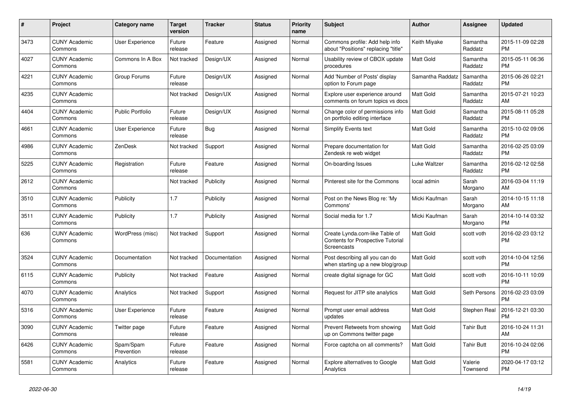| #    | <b>Project</b>                  | <b>Category name</b>    | <b>Target</b><br>version | <b>Tracker</b> | <b>Status</b> | Priority<br>name | <b>Subject</b>                                                                                   | <b>Author</b>    | Assignee            | <b>Updated</b>                |
|------|---------------------------------|-------------------------|--------------------------|----------------|---------------|------------------|--------------------------------------------------------------------------------------------------|------------------|---------------------|-------------------------------|
| 3473 | <b>CUNY Academic</b><br>Commons | <b>User Experience</b>  | Future<br>release        | Feature        | Assigned      | Normal           | Commons profile: Add help info<br>about "Positions" replacing "title"                            | Keith Miyake     | Samantha<br>Raddatz | 2015-11-09 02:28<br><b>PM</b> |
| 4027 | <b>CUNY Academic</b><br>Commons | Commons In A Box        | Not tracked              | Design/UX      | Assigned      | Normal           | Usability review of CBOX update<br>procedures                                                    | Matt Gold        | Samantha<br>Raddatz | 2015-05-11 06:36<br><b>PM</b> |
| 4221 | <b>CUNY Academic</b><br>Commons | Group Forums            | Future<br>release        | Design/UX      | Assigned      | Normal           | Add 'Number of Posts' display<br>option to Forum page                                            | Samantha Raddatz | Samantha<br>Raddatz | 2015-06-26 02:21<br><b>PM</b> |
| 4235 | <b>CUNY Academic</b><br>Commons |                         | Not tracked              | Design/UX      | Assigned      | Normal           | Explore user experience around<br>comments on forum topics vs docs                               | Matt Gold        | Samantha<br>Raddatz | 2015-07-21 10:23<br>AM        |
| 4404 | <b>CUNY Academic</b><br>Commons | <b>Public Portfolio</b> | Future<br>release        | Design/UX      | Assigned      | Normal           | Change color of permissions info<br>on portfolio editing interface                               | Matt Gold        | Samantha<br>Raddatz | 2015-08-11 05:28<br><b>PM</b> |
| 4661 | <b>CUNY Academic</b><br>Commons | User Experience         | Future<br>release        | Bug            | Assigned      | Normal           | Simplify Events text                                                                             | Matt Gold        | Samantha<br>Raddatz | 2015-10-02 09:06<br><b>PM</b> |
| 4986 | <b>CUNY Academic</b><br>Commons | ZenDesk                 | Not tracked              | Support        | Assigned      | Normal           | Prepare documentation for<br>Zendesk re web widget                                               | <b>Matt Gold</b> | Samantha<br>Raddatz | 2016-02-25 03:09<br><b>PM</b> |
| 5225 | <b>CUNY Academic</b><br>Commons | Registration            | Future<br>release        | Feature        | Assigned      | Normal           | On-boarding Issues                                                                               | Luke Waltzer     | Samantha<br>Raddatz | 2016-02-12 02:58<br><b>PM</b> |
| 2612 | <b>CUNY Academic</b><br>Commons |                         | Not tracked              | Publicity      | Assigned      | Normal           | Pinterest site for the Commons                                                                   | local admin      | Sarah<br>Morgano    | 2016-03-04 11:19<br>AM        |
| 3510 | <b>CUNY Academic</b><br>Commons | Publicity               | 1.7                      | Publicity      | Assigned      | Normal           | Post on the News Blog re: 'My<br>Commons'                                                        | Micki Kaufman    | Sarah<br>Morgano    | 2014-10-15 11:18<br>AM        |
| 3511 | <b>CUNY Academic</b><br>Commons | Publicity               | 1.7                      | Publicity      | Assigned      | Normal           | Social media for 1.7                                                                             | Micki Kaufman    | Sarah<br>Morgano    | 2014-10-14 03:32<br><b>PM</b> |
| 636  | <b>CUNY Academic</b><br>Commons | WordPress (misc)        | Not tracked              | Support        | Assigned      | Normal           | Create Lynda.com-like Table of<br><b>Contents for Prospective Tutorial</b><br><b>Screencasts</b> | Matt Gold        | scott voth          | 2016-02-23 03:12<br><b>PM</b> |
| 3524 | <b>CUNY Academic</b><br>Commons | Documentation           | Not tracked              | Documentation  | Assigned      | Normal           | Post describing all you can do<br>when starting up a new blog/group                              | Matt Gold        | scott voth          | 2014-10-04 12:56<br><b>PM</b> |
| 6115 | <b>CUNY Academic</b><br>Commons | Publicity               | Not tracked              | Feature        | Assigned      | Normal           | create digital signage for GC                                                                    | Matt Gold        | scott voth          | 2016-10-11 10:09<br><b>PM</b> |
| 4070 | <b>CUNY Academic</b><br>Commons | Analytics               | Not tracked              | Support        | Assigned      | Normal           | Request for JITP site analytics                                                                  | Matt Gold        | Seth Persons        | 2016-02-23 03:09<br><b>PM</b> |
| 5316 | <b>CUNY Academic</b><br>Commons | <b>User Experience</b>  | Future<br>release        | Feature        | Assigned      | Normal           | Prompt user email address<br>updates                                                             | <b>Matt Gold</b> | Stephen Real        | 2016-12-21 03:30<br><b>PM</b> |
| 3090 | <b>CUNY Academic</b><br>Commons | Twitter page            | Future<br>release        | Feature        | Assigned      | Normal           | Prevent Retweets from showing<br>up on Commons twitter page                                      | Matt Gold        | <b>Tahir Butt</b>   | 2016-10-24 11:31<br>AM        |
| 6426 | <b>CUNY Academic</b><br>Commons | Spam/Spam<br>Prevention | Future<br>release        | Feature        | Assigned      | Normal           | Force captcha on all comments?                                                                   | Matt Gold        | Tahir Butt          | 2016-10-24 02:06<br><b>PM</b> |
| 5581 | <b>CUNY Academic</b><br>Commons | Analytics               | Future<br>release        | Feature        | Assigned      | Normal           | Explore alternatives to Google<br>Analytics                                                      | <b>Matt Gold</b> | Valerie<br>Townsend | 2020-04-17 03:12<br><b>PM</b> |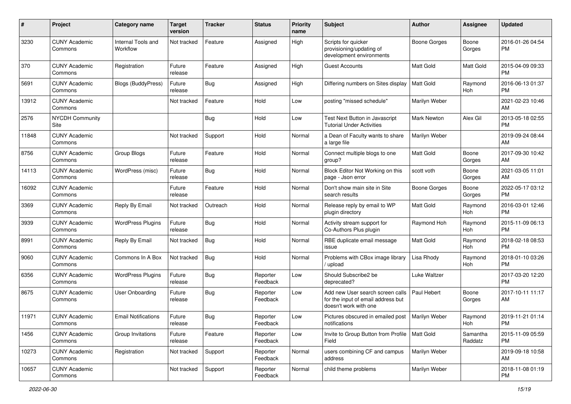| #     | Project                         | <b>Category name</b>           | <b>Target</b><br>version | <b>Tracker</b> | <b>Status</b>        | <b>Priority</b><br>name | <b>Subject</b>                                                                                  | Author              | Assignee            | <b>Updated</b>                |
|-------|---------------------------------|--------------------------------|--------------------------|----------------|----------------------|-------------------------|-------------------------------------------------------------------------------------------------|---------------------|---------------------|-------------------------------|
| 3230  | <b>CUNY Academic</b><br>Commons | Internal Tools and<br>Workflow | Not tracked              | Feature        | Assigned             | High                    | Scripts for quicker<br>provisioning/updating of<br>development environments                     | <b>Boone Gorges</b> | Boone<br>Gorges     | 2016-01-26 04:54<br>PM.       |
| 370   | <b>CUNY Academic</b><br>Commons | Registration                   | Future<br>release        | Feature        | Assigned             | High                    | <b>Guest Accounts</b>                                                                           | <b>Matt Gold</b>    | Matt Gold           | 2015-04-09 09:33<br>PM.       |
| 5691  | <b>CUNY Academic</b><br>Commons | <b>Blogs (BuddyPress)</b>      | Future<br>release        | Bug            | Assigned             | High                    | Differing numbers on Sites display                                                              | <b>Matt Gold</b>    | Raymond<br>Hoh      | 2016-06-13 01:37<br><b>PM</b> |
| 13912 | <b>CUNY Academic</b><br>Commons |                                | Not tracked              | Feature        | Hold                 | Low                     | posting "missed schedule"                                                                       | Marilyn Weber       |                     | 2021-02-23 10:46<br>AM        |
| 2576  | <b>NYCDH Community</b><br>Site  |                                |                          | Bug            | Hold                 | Low                     | Test Next Button in Javascript<br>Tutorial Under Activities                                     | Mark Newton         | Alex Gil            | 2013-05-18 02:55<br><b>PM</b> |
| 11848 | <b>CUNY Academic</b><br>Commons |                                | Not tracked              | Support        | Hold                 | Normal                  | a Dean of Faculty wants to share<br>a large file                                                | Marilyn Weber       |                     | 2019-09-24 08:44<br>AM        |
| 8756  | <b>CUNY Academic</b><br>Commons | Group Blogs                    | Future<br>release        | Feature        | Hold                 | Normal                  | Connect multiple blogs to one<br>group?                                                         | <b>Matt Gold</b>    | Boone<br>Gorges     | 2017-09-30 10:42<br>AM        |
| 14113 | <b>CUNY Academic</b><br>Commons | WordPress (misc)               | Future<br>release        | Bug            | Hold                 | Normal                  | Block Editor Not Working on this<br>page - Json error                                           | scott voth          | Boone<br>Gorges     | 2021-03-05 11:01<br>AM        |
| 16092 | <b>CUNY Academic</b><br>Commons |                                | Future<br>release        | Feature        | Hold                 | Normal                  | Don't show main site in Site<br>search results                                                  | <b>Boone Gorges</b> | Boone<br>Gorges     | 2022-05-17 03:12<br>PM.       |
| 3369  | <b>CUNY Academic</b><br>Commons | Reply By Email                 | Not tracked              | Outreach       | Hold                 | Normal                  | Release reply by email to WP<br>plugin directory                                                | <b>Matt Gold</b>    | Raymond<br>Hoh      | 2016-03-01 12:46<br><b>PM</b> |
| 3939  | <b>CUNY Academic</b><br>Commons | <b>WordPress Plugins</b>       | Future<br>release        | Bug            | Hold                 | Normal                  | Activity stream support for<br>Co-Authors Plus plugin                                           | Raymond Hoh         | Raymond<br>Hoh      | 2015-11-09 06:13<br><b>PM</b> |
| 8991  | <b>CUNY Academic</b><br>Commons | Reply By Email                 | Not tracked              | Bug            | Hold                 | Normal                  | RBE duplicate email message<br>issue                                                            | <b>Matt Gold</b>    | Raymond<br>Hoh      | 2018-02-18 08:53<br><b>PM</b> |
| 9060  | <b>CUNY Academic</b><br>Commons | Commons In A Box               | Not tracked              | Bug            | Hold                 | Normal                  | Problems with CBox image library<br>/ upload                                                    | Lisa Rhody          | Raymond<br>Hoh      | 2018-01-10 03:26<br><b>PM</b> |
| 6356  | <b>CUNY Academic</b><br>Commons | <b>WordPress Plugins</b>       | Future<br>release        | Bug            | Reporter<br>Feedback | Low                     | Should Subscribe2 be<br>deprecated?                                                             | Luke Waltzer        |                     | 2017-03-20 12:20<br><b>PM</b> |
| 8675  | <b>CUNY Academic</b><br>Commons | <b>User Onboarding</b>         | Future<br>release        | Bug            | Reporter<br>Feedback | Low                     | Add new User search screen calls<br>for the input of email address but<br>doesn't work with one | Paul Hebert         | Boone<br>Gorges     | 2017-10-11 11:17<br>AM        |
| 11971 | <b>CUNY Academic</b><br>Commons | <b>Email Notifications</b>     | Future<br>release        | Bug            | Reporter<br>Feedback | Low                     | Pictures obscured in emailed post<br>notifications                                              | Marilyn Weber       | Raymond<br>Hoh      | 2019-11-21 01:14<br>PM        |
| 1456  | <b>CUNY Academic</b><br>Commons | Group Invitations              | Future<br>release        | Feature        | Reporter<br>Feedback | Low                     | Invite to Group Button from Profile<br>Field                                                    | Matt Gold           | Samantha<br>Raddatz | 2015-11-09 05:59<br><b>PM</b> |
| 10273 | <b>CUNY Academic</b><br>Commons | Registration                   | Not tracked              | Support        | Reporter<br>Feedback | Normal                  | users combining CF and campus<br>address                                                        | Marilyn Weber       |                     | 2019-09-18 10:58<br>AM        |
| 10657 | <b>CUNY Academic</b><br>Commons |                                | Not tracked              | Support        | Reporter<br>Feedback | Normal                  | child theme problems                                                                            | Marilyn Weber       |                     | 2018-11-08 01:19<br><b>PM</b> |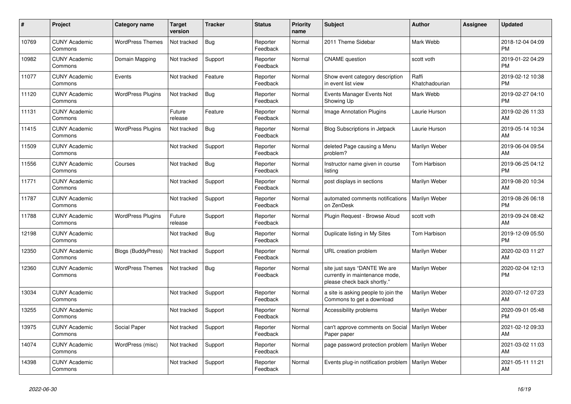| #     | Project                         | <b>Category name</b>      | Target<br>version | <b>Tracker</b> | <b>Status</b>        | <b>Priority</b><br>name | <b>Subject</b>                                                                                | <b>Author</b>           | <b>Assignee</b> | <b>Updated</b>                |
|-------|---------------------------------|---------------------------|-------------------|----------------|----------------------|-------------------------|-----------------------------------------------------------------------------------------------|-------------------------|-----------------|-------------------------------|
| 10769 | <b>CUNY Academic</b><br>Commons | <b>WordPress Themes</b>   | Not tracked       | Bug            | Reporter<br>Feedback | Normal                  | 2011 Theme Sidebar                                                                            | Mark Webb               |                 | 2018-12-04 04:09<br><b>PM</b> |
| 10982 | <b>CUNY Academic</b><br>Commons | Domain Mapping            | Not tracked       | Support        | Reporter<br>Feedback | Normal                  | <b>CNAME</b> question                                                                         | scott voth              |                 | 2019-01-22 04:29<br><b>PM</b> |
| 11077 | <b>CUNY Academic</b><br>Commons | Events                    | Not tracked       | Feature        | Reporter<br>Feedback | Normal                  | Show event category description<br>in event list view                                         | Raffi<br>Khatchadourian |                 | 2019-02-12 10:38<br><b>PM</b> |
| 11120 | <b>CUNY Academic</b><br>Commons | <b>WordPress Plugins</b>  | Not tracked       | <b>Bug</b>     | Reporter<br>Feedback | Normal                  | Events Manager Events Not<br>Showing Up                                                       | Mark Webb               |                 | 2019-02-27 04:10<br><b>PM</b> |
| 11131 | <b>CUNY Academic</b><br>Commons |                           | Future<br>release | Feature        | Reporter<br>Feedback | Normal                  | Image Annotation Plugins                                                                      | Laurie Hurson           |                 | 2019-02-26 11:33<br>AM        |
| 11415 | <b>CUNY Academic</b><br>Commons | <b>WordPress Plugins</b>  | Not tracked       | Bug            | Reporter<br>Feedback | Normal                  | <b>Blog Subscriptions in Jetpack</b>                                                          | Laurie Hurson           |                 | 2019-05-14 10:34<br>AM        |
| 11509 | <b>CUNY Academic</b><br>Commons |                           | Not tracked       | Support        | Reporter<br>Feedback | Normal                  | deleted Page causing a Menu<br>problem?                                                       | Marilyn Weber           |                 | 2019-06-04 09:54<br>AM        |
| 11556 | <b>CUNY Academic</b><br>Commons | Courses                   | Not tracked       | Bug            | Reporter<br>Feedback | Normal                  | Instructor name given in course<br>listing                                                    | Tom Harbison            |                 | 2019-06-25 04:12<br><b>PM</b> |
| 11771 | <b>CUNY Academic</b><br>Commons |                           | Not tracked       | Support        | Reporter<br>Feedback | Normal                  | post displays in sections                                                                     | Marilyn Weber           |                 | 2019-08-20 10:34<br><b>AM</b> |
| 11787 | <b>CUNY Academic</b><br>Commons |                           | Not tracked       | Support        | Reporter<br>Feedback | Normal                  | automated comments notifications<br>on ZenDesk                                                | Marilyn Weber           |                 | 2019-08-26 06:18<br><b>PM</b> |
| 11788 | <b>CUNY Academic</b><br>Commons | <b>WordPress Plugins</b>  | Future<br>release | Support        | Reporter<br>Feedback | Normal                  | Plugin Request - Browse Aloud                                                                 | scott voth              |                 | 2019-09-24 08:42<br>AM        |
| 12198 | <b>CUNY Academic</b><br>Commons |                           | Not tracked       | Bug            | Reporter<br>Feedback | Normal                  | Duplicate listing in My Sites                                                                 | Tom Harbison            |                 | 2019-12-09 05:50<br><b>PM</b> |
| 12350 | <b>CUNY Academic</b><br>Commons | <b>Blogs (BuddyPress)</b> | Not tracked       | Support        | Reporter<br>Feedback | Normal                  | URL creation problem                                                                          | Marilyn Weber           |                 | 2020-02-03 11:27<br>AM        |
| 12360 | <b>CUNY Academic</b><br>Commons | <b>WordPress Themes</b>   | Not tracked       | Bug            | Reporter<br>Feedback | Normal                  | site just says "DANTE We are<br>currently in maintenance mode,<br>please check back shortly." | <b>Marilvn Weber</b>    |                 | 2020-02-04 12:13<br>PM        |
| 13034 | <b>CUNY Academic</b><br>Commons |                           | Not tracked       | Support        | Reporter<br>Feedback | Normal                  | a site is asking people to join the<br>Commons to get a download                              | Marilyn Weber           |                 | 2020-07-12 07:23<br><b>AM</b> |
| 13255 | <b>CUNY Academic</b><br>Commons |                           | Not tracked       | Support        | Reporter<br>Feedback | Normal                  | Accessibility problems                                                                        | Marilyn Weber           |                 | 2020-09-01 05:48<br><b>PM</b> |
| 13975 | <b>CUNY Academic</b><br>Commons | Social Paper              | Not tracked       | Support        | Reporter<br>Feedback | Normal                  | can't approve comments on Social<br>Paper paper                                               | Marilyn Weber           |                 | 2021-02-12 09:33<br>AM        |
| 14074 | <b>CUNY Academic</b><br>Commons | WordPress (misc)          | Not tracked       | Support        | Reporter<br>Feedback | Normal                  | page password protection problem   Marilyn Weber                                              |                         |                 | 2021-03-02 11:03<br><b>AM</b> |
| 14398 | <b>CUNY Academic</b><br>Commons |                           | Not tracked       | Support        | Reporter<br>Feedback | Normal                  | Events plug-in notification problem                                                           | Marilyn Weber           |                 | 2021-05-11 11:21<br>AM        |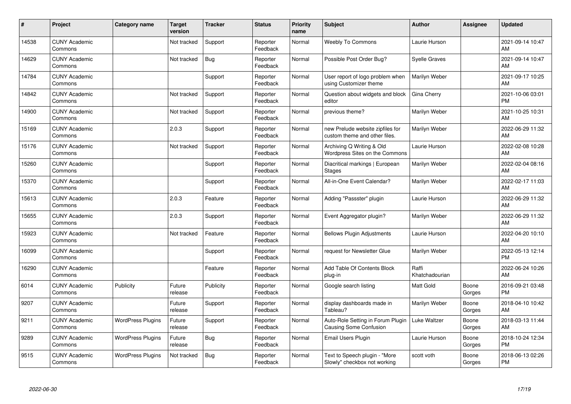| ∦     | Project                         | Category name            | <b>Target</b><br>version | <b>Tracker</b> | <b>Status</b>        | <b>Priority</b><br>name | <b>Subject</b>                                                     | <b>Author</b>           | <b>Assignee</b> | <b>Updated</b>                |
|-------|---------------------------------|--------------------------|--------------------------|----------------|----------------------|-------------------------|--------------------------------------------------------------------|-------------------------|-----------------|-------------------------------|
| 14538 | <b>CUNY Academic</b><br>Commons |                          | Not tracked              | Support        | Reporter<br>Feedback | Normal                  | <b>Weebly To Commons</b>                                           | Laurie Hurson           |                 | 2021-09-14 10:47<br>AM        |
| 14629 | <b>CUNY Academic</b><br>Commons |                          | Not tracked              | Bug            | Reporter<br>Feedback | Normal                  | Possible Post Order Bug?                                           | <b>Syelle Graves</b>    |                 | 2021-09-14 10:47<br>AM        |
| 14784 | <b>CUNY Academic</b><br>Commons |                          |                          | Support        | Reporter<br>Feedback | Normal                  | User report of logo problem when<br>using Customizer theme         | Marilyn Weber           |                 | 2021-09-17 10:25<br>AM        |
| 14842 | <b>CUNY Academic</b><br>Commons |                          | Not tracked              | Support        | Reporter<br>Feedback | Normal                  | Question about widgets and block<br>editor                         | Gina Cherry             |                 | 2021-10-06 03:01<br><b>PM</b> |
| 14900 | <b>CUNY Academic</b><br>Commons |                          | Not tracked              | Support        | Reporter<br>Feedback | Normal                  | previous theme?                                                    | Marilyn Weber           |                 | 2021-10-25 10:31<br>AM        |
| 15169 | <b>CUNY Academic</b><br>Commons |                          | 2.0.3                    | Support        | Reporter<br>Feedback | Normal                  | new Prelude website zipfiles for<br>custom theme and other files.  | Marilyn Weber           |                 | 2022-06-29 11:32<br>AM        |
| 15176 | <b>CUNY Academic</b><br>Commons |                          | Not tracked              | Support        | Reporter<br>Feedback | Normal                  | Archiving Q Writing & Old<br>Wordpress Sites on the Commons        | Laurie Hurson           |                 | 2022-02-08 10:28<br>AM        |
| 15260 | <b>CUNY Academic</b><br>Commons |                          |                          | Support        | Reporter<br>Feedback | Normal                  | Diacritical markings   European<br><b>Stages</b>                   | Marilyn Weber           |                 | 2022-02-04 08:16<br>AM        |
| 15370 | <b>CUNY Academic</b><br>Commons |                          |                          | Support        | Reporter<br>Feedback | Normal                  | All-in-One Event Calendar?                                         | Marilyn Weber           |                 | 2022-02-17 11:03<br>AM        |
| 15613 | <b>CUNY Academic</b><br>Commons |                          | 2.0.3                    | Feature        | Reporter<br>Feedback | Normal                  | Adding "Passster" plugin                                           | Laurie Hurson           |                 | 2022-06-29 11:32<br>AM        |
| 15655 | <b>CUNY Academic</b><br>Commons |                          | 2.0.3                    | Support        | Reporter<br>Feedback | Normal                  | Event Aggregator plugin?                                           | Marilyn Weber           |                 | 2022-06-29 11:32<br>AM        |
| 15923 | <b>CUNY Academic</b><br>Commons |                          | Not tracked              | Feature        | Reporter<br>Feedback | Normal                  | <b>Bellows Plugin Adjustments</b>                                  | Laurie Hurson           |                 | 2022-04-20 10:10<br>AM        |
| 16099 | <b>CUNY Academic</b><br>Commons |                          |                          | Support        | Reporter<br>Feedback | Normal                  | request for Newsletter Glue                                        | Marilyn Weber           |                 | 2022-05-13 12:14<br><b>PM</b> |
| 16290 | <b>CUNY Academic</b><br>Commons |                          |                          | Feature        | Reporter<br>Feedback | Normal                  | Add Table Of Contents Block<br>plug-in                             | Raffi<br>Khatchadourian |                 | 2022-06-24 10:26<br>AM        |
| 6014  | <b>CUNY Academic</b><br>Commons | Publicity                | Future<br>release        | Publicity      | Reporter<br>Feedback | Normal                  | Google search listing                                              | Matt Gold               | Boone<br>Gorges | 2016-09-21 03:48<br><b>PM</b> |
| 9207  | <b>CUNY Academic</b><br>Commons |                          | Future<br>release        | Support        | Reporter<br>Feedback | Normal                  | display dashboards made in<br>Tableau?                             | Marilyn Weber           | Boone<br>Gorges | 2018-04-10 10:42<br>AM        |
| 9211  | <b>CUNY Academic</b><br>Commons | <b>WordPress Plugins</b> | Future<br>release        | Support        | Reporter<br>Feedback | Normal                  | Auto-Role Setting in Forum Plugin<br><b>Causing Some Confusion</b> | Luke Waltzer            | Boone<br>Gorges | 2018-03-13 11:44<br>AM        |
| 9289  | <b>CUNY Academic</b><br>Commons | <b>WordPress Plugins</b> | Future<br>release        | Bug            | Reporter<br>Feedback | Normal                  | Email Users Plugin                                                 | Laurie Hurson           | Boone<br>Gorges | 2018-10-24 12:34<br><b>PM</b> |
| 9515  | <b>CUNY Academic</b><br>Commons | <b>WordPress Plugins</b> | Not tracked              | <b>Bug</b>     | Reporter<br>Feedback | Normal                  | Text to Speech plugin - "More<br>Slowly" checkbox not working      | scott voth              | Boone<br>Gorges | 2018-06-13 02:26<br>PM        |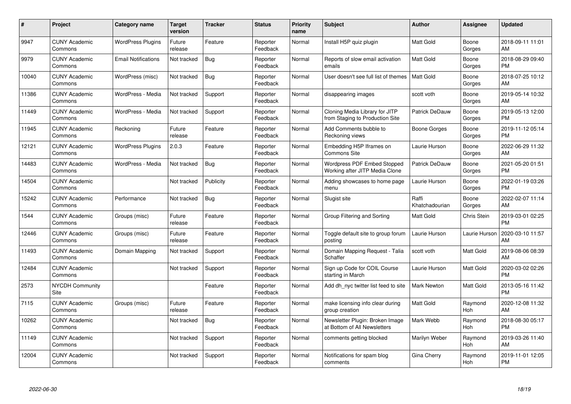| #     | Project                         | <b>Category name</b>       | <b>Target</b><br>version | <b>Tracker</b> | <b>Status</b>        | <b>Priority</b><br>name | <b>Subject</b>                                                    | <b>Author</b>           | <b>Assignee</b> | <b>Updated</b>                |
|-------|---------------------------------|----------------------------|--------------------------|----------------|----------------------|-------------------------|-------------------------------------------------------------------|-------------------------|-----------------|-------------------------------|
| 9947  | <b>CUNY Academic</b><br>Commons | <b>WordPress Plugins</b>   | Future<br>release        | Feature        | Reporter<br>Feedback | Normal                  | Install H5P quiz plugin                                           | <b>Matt Gold</b>        | Boone<br>Gorges | 2018-09-11 11:01<br>AM        |
| 9979  | <b>CUNY Academic</b><br>Commons | <b>Email Notifications</b> | Not tracked              | Bug            | Reporter<br>Feedback | Normal                  | Reports of slow email activation<br>emails                        | <b>Matt Gold</b>        | Boone<br>Gorges | 2018-08-29 09:40<br><b>PM</b> |
| 10040 | <b>CUNY Academic</b><br>Commons | WordPress (misc)           | Not tracked              | Bug            | Reporter<br>Feedback | Normal                  | User doesn't see full list of themes                              | <b>Matt Gold</b>        | Boone<br>Gorges | 2018-07-25 10:12<br>AM        |
| 11386 | <b>CUNY Academic</b><br>Commons | WordPress - Media          | Not tracked              | Support        | Reporter<br>Feedback | Normal                  | disappearing images                                               | scott voth              | Boone<br>Gorges | 2019-05-14 10:32<br>AM        |
| 11449 | <b>CUNY Academic</b><br>Commons | WordPress - Media          | Not tracked              | Support        | Reporter<br>Feedback | Normal                  | Cloning Media Library for JITP<br>from Staging to Production Site | Patrick DeDauw          | Boone<br>Gorges | 2019-05-13 12:00<br><b>PM</b> |
| 11945 | <b>CUNY Academic</b><br>Commons | Reckoning                  | Future<br>release        | Feature        | Reporter<br>Feedback | Normal                  | Add Comments bubble to<br>Reckoning views                         | Boone Gorges            | Boone<br>Gorges | 2019-11-12 05:14<br><b>PM</b> |
| 12121 | <b>CUNY Academic</b><br>Commons | <b>WordPress Plugins</b>   | 2.0.3                    | Feature        | Reporter<br>Feedback | Normal                  | Embedding H5P Iframes on<br><b>Commons Site</b>                   | Laurie Hurson           | Boone<br>Gorges | 2022-06-29 11:32<br>AM        |
| 14483 | <b>CUNY Academic</b><br>Commons | WordPress - Media          | Not tracked              | Bug            | Reporter<br>Feedback | Normal                  | Wordpress PDF Embed Stopped<br>Working after JITP Media Clone     | Patrick DeDauw          | Boone<br>Gorges | 2021-05-20 01:51<br><b>PM</b> |
| 14504 | <b>CUNY Academic</b><br>Commons |                            | Not tracked              | Publicity      | Reporter<br>Feedback | Normal                  | Adding showcases to home page<br>menu                             | Laurie Hurson           | Boone<br>Gorges | 2022-01-19 03:26<br><b>PM</b> |
| 15242 | <b>CUNY Academic</b><br>Commons | Performance                | Not tracked              | Bug            | Reporter<br>Feedback | Normal                  | Slugist site                                                      | Raffi<br>Khatchadourian | Boone<br>Gorges | 2022-02-07 11:14<br>AM        |
| 1544  | <b>CUNY Academic</b><br>Commons | Groups (misc)              | Future<br>release        | Feature        | Reporter<br>Feedback | Normal                  | Group Filtering and Sorting                                       | <b>Matt Gold</b>        | Chris Stein     | 2019-03-01 02:25<br><b>PM</b> |
| 12446 | <b>CUNY Academic</b><br>Commons | Groups (misc)              | Future<br>release        | Feature        | Reporter<br>Feedback | Normal                  | Toggle default site to group forum<br>posting                     | Laurie Hurson           | Laurie Hurson   | 2020-03-10 11:57<br>AM        |
| 11493 | <b>CUNY Academic</b><br>Commons | Domain Mapping             | Not tracked              | Support        | Reporter<br>Feedback | Normal                  | Domain Mapping Request - Talia<br>Schaffer                        | scott voth              | Matt Gold       | 2019-08-06 08:39<br>AM        |
| 12484 | <b>CUNY Academic</b><br>Commons |                            | Not tracked              | Support        | Reporter<br>Feedback | Normal                  | Sign up Code for COIL Course<br>starting in March                 | Laurie Hurson           | Matt Gold       | 2020-03-02 02:26<br><b>PM</b> |
| 2573  | <b>NYCDH Community</b><br>Site  |                            |                          | Feature        | Reporter<br>Feedback | Normal                  | Add dh nyc twitter list feed to site                              | Mark Newton             | Matt Gold       | 2013-05-16 11:42<br><b>PM</b> |
| 7115  | <b>CUNY Academic</b><br>Commons | Groups (misc)              | Future<br>release        | Feature        | Reporter<br>Feedback | Normal                  | make licensing info clear during<br>group creation                | <b>Matt Gold</b>        | Raymond<br>Hoh  | 2020-12-08 11:32<br>AM        |
| 10262 | <b>CUNY Academic</b><br>Commons |                            | Not tracked              | <b>Bug</b>     | Reporter<br>Feedback | Normal                  | Newsletter Plugin: Broken Image<br>at Bottom of All Newsletters   | Mark Webb               | Raymond<br>Hoh  | 2018-08-30 05:17<br><b>PM</b> |
| 11149 | <b>CUNY Academic</b><br>Commons |                            | Not tracked              | Support        | Reporter<br>Feedback | Normal                  | comments getting blocked                                          | Marilyn Weber           | Raymond<br>Hoh  | 2019-03-26 11:40<br>AM        |
| 12004 | <b>CUNY Academic</b><br>Commons |                            | Not tracked              | Support        | Reporter<br>Feedback | Normal                  | Notifications for spam blog<br>comments                           | Gina Cherry             | Raymond<br>Hoh  | 2019-11-01 12:05<br><b>PM</b> |